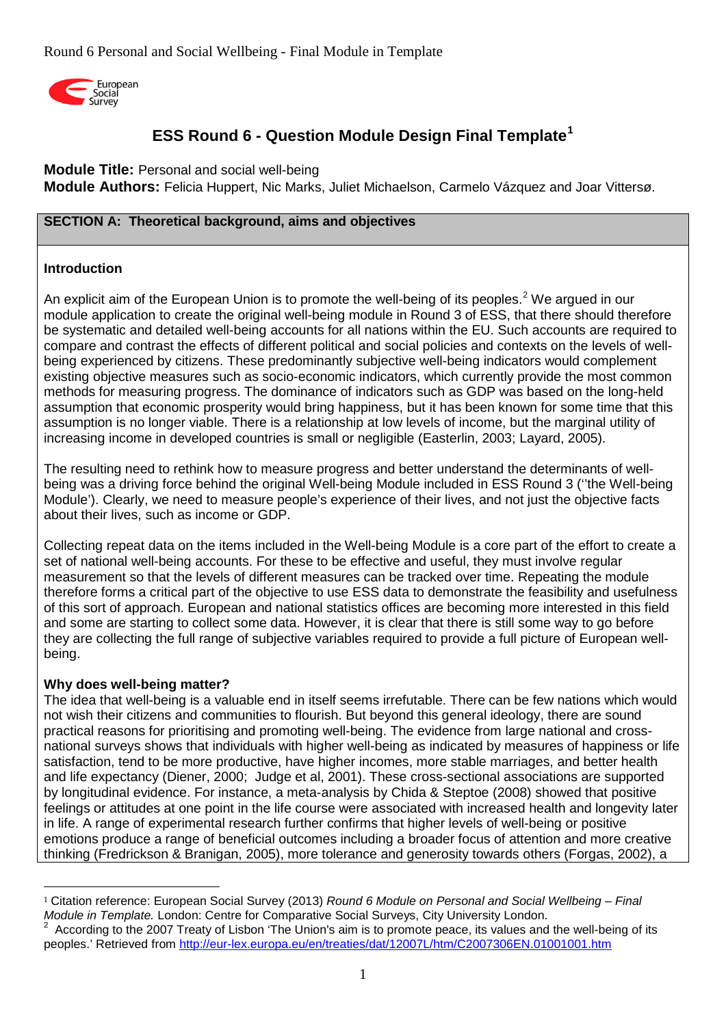

# **ESS Round 6 - Question Module Design Final Template[1](#page-0-0)**

**Module Title:** Personal and social well-being

**Module Authors:** Felicia Huppert, Nic Marks, Juliet Michaelson, Carmelo Vázquez and Joar Vittersø.

# **SECTION A: Theoretical background, aims and objectives**

# **Introduction**

An explicit aim of the European Union is to promote the well-being of its peoples.<sup>[2](#page-0-1)</sup> We argued in our module application to create the original well-being module in Round 3 of ESS, that there should therefore be systematic and detailed well-being accounts for all nations within the EU. Such accounts are required to compare and contrast the effects of different political and social policies and contexts on the levels of wellbeing experienced by citizens. These predominantly subjective well-being indicators would complement existing objective measures such as socio-economic indicators, which currently provide the most common methods for measuring progress. The dominance of indicators such as GDP was based on the long-held assumption that economic prosperity would bring happiness, but it has been known for some time that this assumption is no longer viable. There is a relationship at low levels of income, but the marginal utility of increasing income in developed countries is small or negligible (Easterlin, 2003; Layard, 2005).

The resulting need to rethink how to measure progress and better understand the determinants of wellbeing was a driving force behind the original Well-being Module included in ESS Round 3 (''the Well-being Module'). Clearly, we need to measure people's experience of their lives, and not just the objective facts about their lives, such as income or GDP.

Collecting repeat data on the items included in the Well-being Module is a core part of the effort to create a set of national well-being accounts. For these to be effective and useful, they must involve regular measurement so that the levels of different measures can be tracked over time. Repeating the module therefore forms a critical part of the objective to use ESS data to demonstrate the feasibility and usefulness of this sort of approach. European and national statistics offices are becoming more interested in this field and some are starting to collect some data. However, it is clear that there is still some way to go before they are collecting the full range of subjective variables required to provide a full picture of European wellbeing.

# **Why does well-being matter?**

-

The idea that well-being is a valuable end in itself seems irrefutable. There can be few nations which would not wish their citizens and communities to flourish. But beyond this general ideology, there are sound practical reasons for prioritising and promoting well-being. The evidence from large national and crossnational surveys shows that individuals with higher well-being as indicated by measures of happiness or life satisfaction, tend to be more productive, have higher incomes, more stable marriages, and better health and life expectancy (Diener, 2000; Judge et al, 2001). These cross-sectional associations are supported by longitudinal evidence. For instance, a meta-analysis by Chida & Steptoe (2008) showed that positive feelings or attitudes at one point in the life course were associated with increased health and longevity later in life. A range of experimental research further confirms that higher levels of well-being or positive emotions produce a range of beneficial outcomes including a broader focus of attention and more creative thinking (Fredrickson & Branigan, 2005), more tolerance and generosity towards others (Forgas, 2002), a

<span id="page-0-0"></span><sup>1</sup> Citation reference: European Social Survey (2013) *Round 6 Module on Personal and Social Wellbeing – Final* 

<span id="page-0-1"></span>According to the 2007 Treaty of Lisbon 'The Union's aim is to promote peace, its values and the well-being of its peoples.' Retrieved from<http://eur-lex.europa.eu/en/treaties/dat/12007L/htm/C2007306EN.01001001.htm>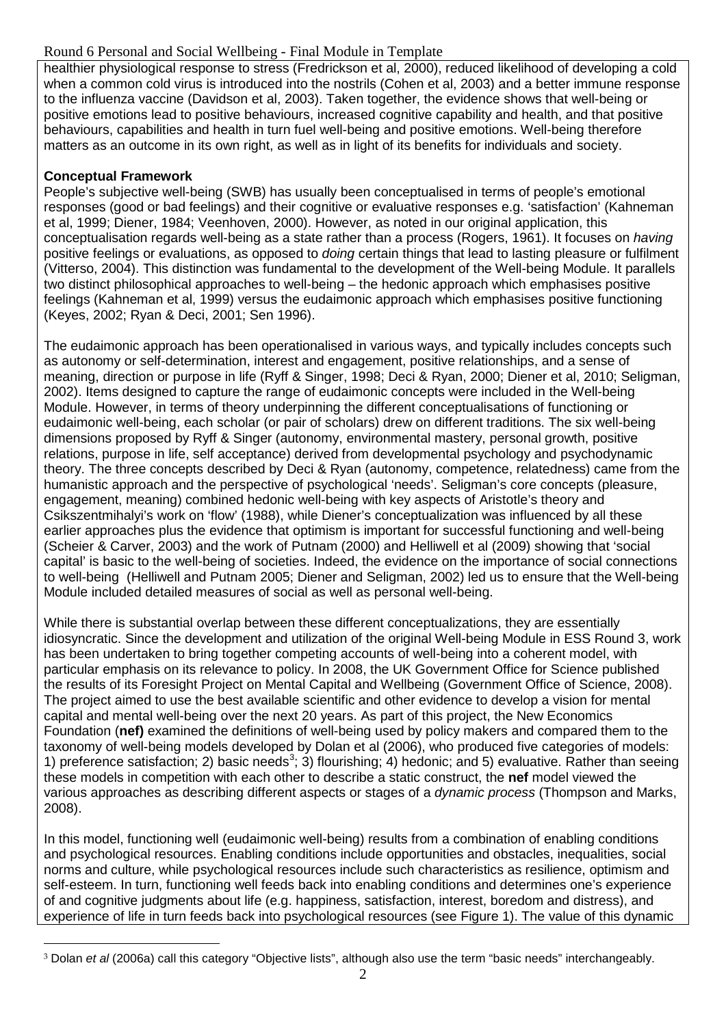# Round 6 Personal and Social Wellbeing - Final Module in Template

healthier physiological response to stress (Fredrickson et al, 2000), reduced likelihood of developing a cold when a common cold virus is introduced into the nostrils (Cohen et al, 2003) and a better immune response to the influenza vaccine (Davidson et al, 2003). Taken together, the evidence shows that well-being or positive emotions lead to positive behaviours, increased cognitive capability and health, and that positive behaviours, capabilities and health in turn fuel well-being and positive emotions. Well-being therefore matters as an outcome in its own right, as well as in light of its benefits for individuals and society.

# **Conceptual Framework**

-

People's subjective well-being (SWB) has usually been conceptualised in terms of people's emotional responses (good or bad feelings) and their cognitive or evaluative responses e.g. 'satisfaction' (Kahneman et al, 1999; Diener, 1984; Veenhoven, 2000). However, as noted in our original application, this conceptualisation regards well-being as a state rather than a process (Rogers, 1961). It focuses on *having* positive feelings or evaluations, as opposed to *doing* certain things that lead to lasting pleasure or fulfilment (Vitterso, 2004). This distinction was fundamental to the development of the Well-being Module. It parallels two distinct philosophical approaches to well-being – the hedonic approach which emphasises positive feelings (Kahneman et al, 1999) versus the eudaimonic approach which emphasises positive functioning (Keyes, 2002; Ryan & Deci, 2001; Sen 1996).

The eudaimonic approach has been operationalised in various ways, and typically includes concepts such as autonomy or self-determination, interest and engagement, positive relationships, and a sense of meaning, direction or purpose in life (Ryff & Singer, 1998; Deci & Ryan, 2000; Diener et al, 2010; Seligman, 2002). Items designed to capture the range of eudaimonic concepts were included in the Well-being Module. However, in terms of theory underpinning the different conceptualisations of functioning or eudaimonic well-being, each scholar (or pair of scholars) drew on different traditions. The six well-being dimensions proposed by Ryff & Singer (autonomy, environmental mastery, personal growth, positive relations, purpose in life, self acceptance) derived from developmental psychology and psychodynamic theory. The three concepts described by Deci & Ryan (autonomy, competence, relatedness) came from the humanistic approach and the perspective of psychological 'needs'. Seligman's core concepts (pleasure, engagement, meaning) combined hedonic well-being with key aspects of Aristotle's theory and Csikszentmihalyi's work on 'flow' (1988), while Diener's conceptualization was influenced by all these earlier approaches plus the evidence that optimism is important for successful functioning and well-being (Scheier & Carver, 2003) and the work of Putnam (2000) and Helliwell et al (2009) showing that 'social capital' is basic to the well-being of societies. Indeed, the evidence on the importance of social connections to well-being (Helliwell and Putnam 2005; Diener and Seligman, 2002) led us to ensure that the Well-being Module included detailed measures of social as well as personal well-being.

While there is substantial overlap between these different conceptualizations, they are essentially idiosyncratic. Since the development and utilization of the original Well-being Module in ESS Round 3, work has been undertaken to bring together competing accounts of well-being into a coherent model, with particular emphasis on its relevance to policy. In 2008, the UK Government Office for Science published the results of its Foresight Project on Mental Capital and Wellbeing (Government Office of Science, 2008). The project aimed to use the best available scientific and other evidence to develop a vision for mental capital and mental well-being over the next 20 years. As part of this project, the New Economics Foundation (**nef)** examined the definitions of well-being used by policy makers and compared them to the taxonomy of well-being models developed by Dolan et al (2006), who produced five categories of models: 1) preference satisfaction; 2) basic needs<sup>[3](#page-1-0)</sup>; 3) flourishing; 4) hedonic; and 5) evaluative. Rather than seeing these models in competition with each other to describe a static construct, the **nef** model viewed the various approaches as describing different aspects or stages of a *dynamic process* (Thompson and Marks, 2008).

In this model, functioning well (eudaimonic well-being) results from a combination of enabling conditions and psychological resources. Enabling conditions include opportunities and obstacles, inequalities, social norms and culture, while psychological resources include such characteristics as resilience, optimism and self-esteem. In turn, functioning well feeds back into enabling conditions and determines one's experience of and cognitive judgments about life (e.g. happiness, satisfaction, interest, boredom and distress), and experience of life in turn feeds back into psychological resources (see Figure 1). The value of this dynamic

<span id="page-1-0"></span><sup>3</sup> Dolan *et al* (2006a) call this category "Objective lists", although also use the term "basic needs" interchangeably.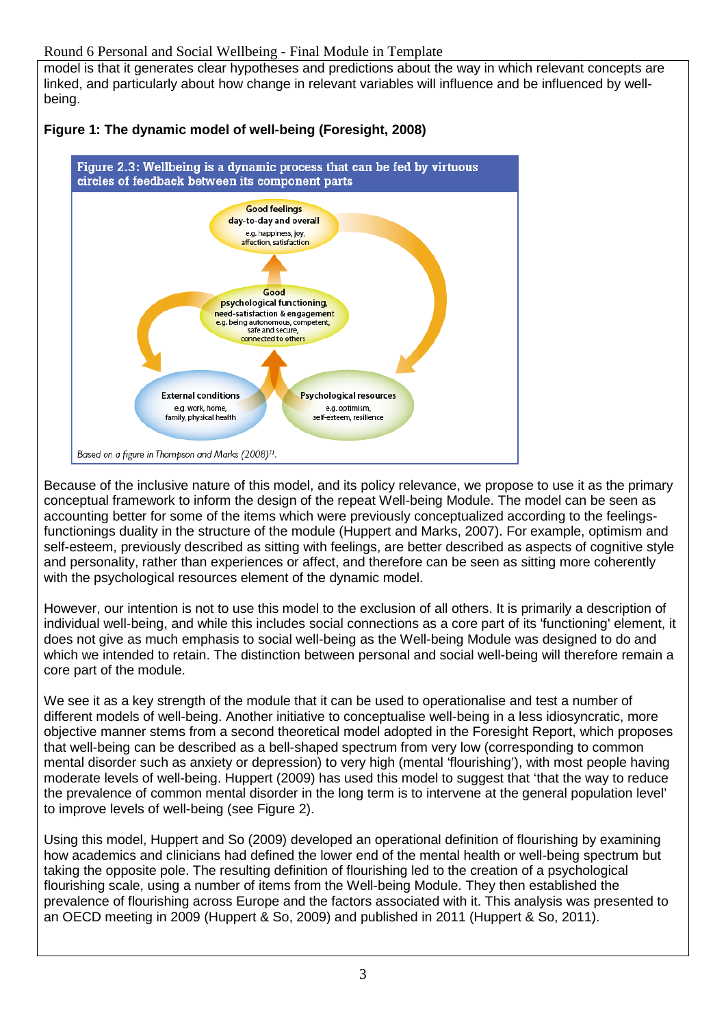model is that it generates clear hypotheses and predictions about the way in which relevant concepts are linked, and particularly about how change in relevant variables will influence and be influenced by wellbeing.



# **Figure 1: The dynamic model of well-being (Foresight, 2008)**

Because of the inclusive nature of this model, and its policy relevance, we propose to use it as the primary conceptual framework to inform the design of the repeat Well-being Module. The model can be seen as accounting better for some of the items which were previously conceptualized according to the feelingsfunctionings duality in the structure of the module (Huppert and Marks, 2007). For example, optimism and self-esteem, previously described as sitting with feelings, are better described as aspects of cognitive style and personality, rather than experiences or affect, and therefore can be seen as sitting more coherently with the psychological resources element of the dynamic model.

However, our intention is not to use this model to the exclusion of all others. It is primarily a description of individual well-being, and while this includes social connections as a core part of its 'functioning' element, it does not give as much emphasis to social well-being as the Well-being Module was designed to do and which we intended to retain. The distinction between personal and social well-being will therefore remain a core part of the module.

We see it as a key strength of the module that it can be used to operationalise and test a number of different models of well-being. Another initiative to conceptualise well-being in a less idiosyncratic, more objective manner stems from a second theoretical model adopted in the Foresight Report, which proposes that well-being can be described as a bell-shaped spectrum from very low (corresponding to common mental disorder such as anxiety or depression) to very high (mental 'flourishing'), with most people having moderate levels of well-being. Huppert (2009) has used this model to suggest that 'that the way to reduce the prevalence of common mental disorder in the long term is to intervene at the general population level' to improve levels of well-being (see Figure 2).

Using this model, Huppert and So (2009) developed an operational definition of flourishing by examining how academics and clinicians had defined the lower end of the mental health or well-being spectrum but taking the opposite pole. The resulting definition of flourishing led to the creation of a psychological flourishing scale, using a number of items from the Well-being Module. They then established the prevalence of flourishing across Europe and the factors associated with it. This analysis was presented to an OECD meeting in 2009 (Huppert & So, 2009) and published in 2011 (Huppert & So, 2011).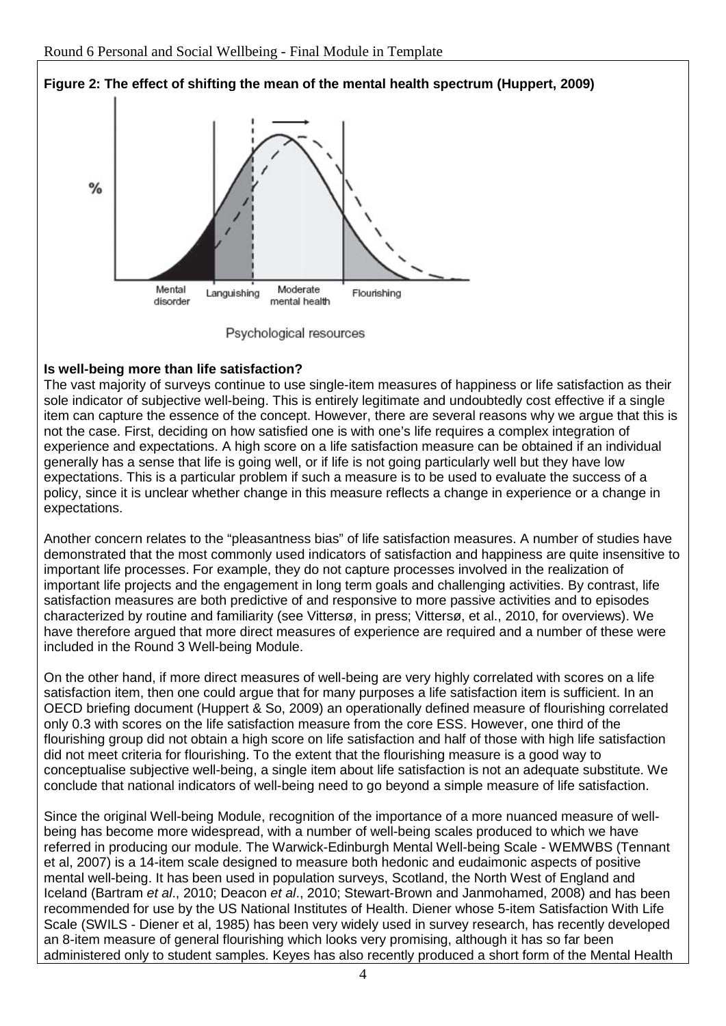

# **Figure 2: The effect of shifting the mean of the mental health spectrum (Huppert, 2009)**



# **Is well-being more than life satisfaction?**

The vast majority of surveys continue to use single-item measures of happiness or life satisfaction as their sole indicator of subjective well-being. This is entirely legitimate and undoubtedly cost effective if a single item can capture the essence of the concept. However, there are several reasons why we argue that this is not the case. First, deciding on how satisfied one is with one's life requires a complex integration of experience and expectations. A high score on a life satisfaction measure can be obtained if an individual generally has a sense that life is going well, or if life is not going particularly well but they have low expectations. This is a particular problem if such a measure is to be used to evaluate the success of a policy, since it is unclear whether change in this measure reflects a change in experience or a change in expectations.

Another concern relates to the "pleasantness bias" of life satisfaction measures. A number of studies have demonstrated that the most commonly used indicators of satisfaction and happiness are quite insensitive to important life processes. For example, they do not capture processes involved in the realization of important life projects and the engagement in long term goals and challenging activities. By contrast, life satisfaction measures are both predictive of and responsive to more passive activities and to episodes characterized by routine and familiarity (see Vittersø, in press; Vittersø, et al., 2010, for overviews). We have therefore argued that more direct measures of experience are required and a number of these were included in the Round 3 Well-being Module.

On the other hand, if more direct measures of well-being are very highly correlated with scores on a life satisfaction item, then one could argue that for many purposes a life satisfaction item is sufficient. In an OECD briefing document (Huppert & So, 2009) an operationally defined measure of flourishing correlated only 0.3 with scores on the life satisfaction measure from the core ESS. However, one third of the flourishing group did not obtain a high score on life satisfaction and half of those with high life satisfaction did not meet criteria for flourishing. To the extent that the flourishing measure is a good way to conceptualise subjective well-being, a single item about life satisfaction is not an adequate substitute. We conclude that national indicators of well-being need to go beyond a simple measure of life satisfaction.

Since the original Well-being Module, recognition of the importance of a more nuanced measure of wellbeing has become more widespread, with a number of well-being scales produced to which we have referred in producing our module. The Warwick-Edinburgh Mental Well-being Scale - WEMWBS (Tennant et al, 2007) is a 14-item scale designed to measure both hedonic and eudaimonic aspects of positive mental well-being. It has been used in population surveys, Scotland, the North West of England and Iceland (Bartram *et al*., 2010; Deacon *et al*., 2010; Stewart-Brown and Janmohamed, 2008) and has been recommended for use by the US National Institutes of Health. Diener whose 5-item Satisfaction With Life Scale (SWILS - Diener et al, 1985) has been very widely used in survey research, has recently developed an 8-item measure of general flourishing which looks very promising, although it has so far been administered only to student samples. Keyes has also recently produced a short form of the Mental Health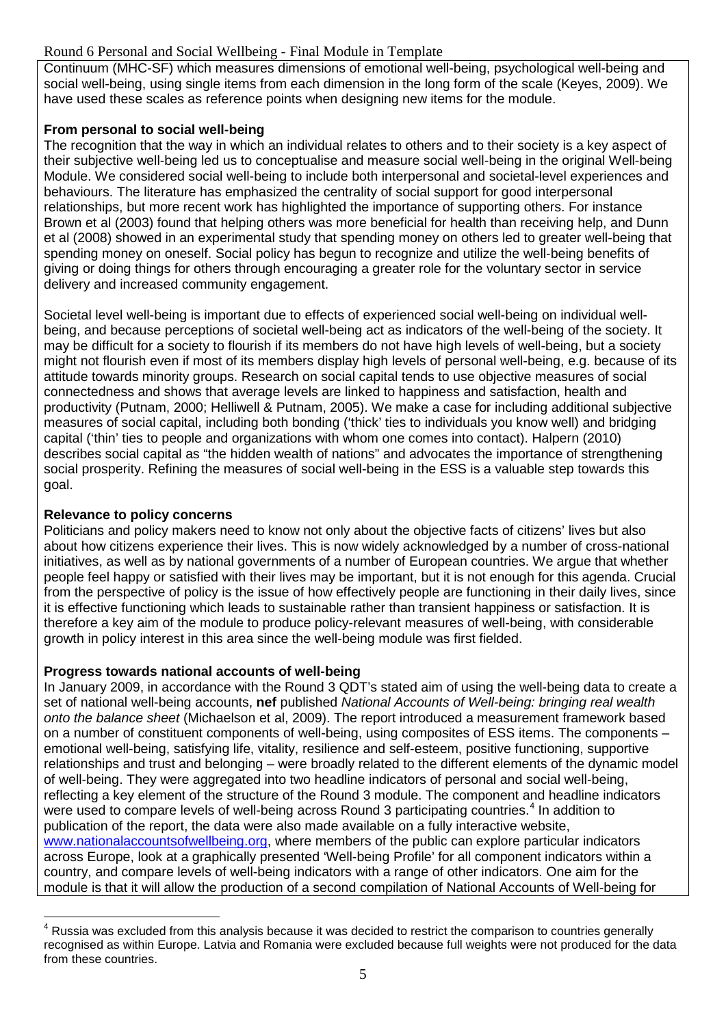# Round 6 Personal and Social Wellbeing - Final Module in Template

Continuum (MHC-SF) which measures dimensions of emotional well-being, psychological well-being and social well-being, using single items from each dimension in the long form of the scale (Keyes, 2009). We have used these scales as reference points when designing new items for the module.

# **From personal to social well-being**

The recognition that the way in which an individual relates to others and to their society is a key aspect of their subjective well-being led us to conceptualise and measure social well-being in the original Well-being Module. We considered social well-being to include both interpersonal and societal-level experiences and behaviours. The literature has emphasized the centrality of social support for good interpersonal relationships, but more recent work has highlighted the importance of supporting others. For instance Brown et al (2003) found that helping others was more beneficial for health than receiving help, and Dunn et al (2008) showed in an experimental study that spending money on others led to greater well-being that spending money on oneself. Social policy has begun to recognize and utilize the well-being benefits of giving or doing things for others through encouraging a greater role for the voluntary sector in service delivery and increased community engagement.

Societal level well-being is important due to effects of experienced social well-being on individual wellbeing, and because perceptions of societal well-being act as indicators of the well-being of the society. It may be difficult for a society to flourish if its members do not have high levels of well-being, but a society might not flourish even if most of its members display high levels of personal well-being, e.g. because of its attitude towards minority groups. Research on social capital tends to use objective measures of social connectedness and shows that average levels are linked to happiness and satisfaction, health and productivity (Putnam, 2000; Helliwell & Putnam, 2005). We make a case for including additional subjective measures of social capital, including both bonding ('thick' ties to individuals you know well) and bridging capital ('thin' ties to people and organizations with whom one comes into contact). Halpern (2010) describes social capital as "the hidden wealth of nations" and advocates the importance of strengthening social prosperity. Refining the measures of social well-being in the ESS is a valuable step towards this goal.

# **Relevance to policy concerns**

 $\overline{a}$ 

Politicians and policy makers need to know not only about the objective facts of citizens' lives but also about how citizens experience their lives. This is now widely acknowledged by a number of cross-national initiatives, as well as by national governments of a number of European countries. We argue that whether people feel happy or satisfied with their lives may be important, but it is not enough for this agenda. Crucial from the perspective of policy is the issue of how effectively people are functioning in their daily lives, since it is effective functioning which leads to sustainable rather than transient happiness or satisfaction. It is therefore a key aim of the module to produce policy-relevant measures of well-being, with considerable growth in policy interest in this area since the well-being module was first fielded.

# **Progress towards national accounts of well-being**

In January 2009, in accordance with the Round 3 QDT's stated aim of using the well-being data to create a set of national well-being accounts, **nef** published *National Accounts of Well-being: bringing real wealth onto the balance sheet* (Michaelson et al, 2009). The report introduced a measurement framework based on a number of constituent components of well-being, using composites of ESS items. The components – emotional well-being, satisfying life, vitality, resilience and self-esteem, positive functioning, supportive relationships and trust and belonging – were broadly related to the different elements of the dynamic model of well-being. They were aggregated into two headline indicators of personal and social well-being, reflecting a key element of the structure of the Round 3 module. The component and headline indicators were used to compare levels of well-being across Round 3 participating countries.<sup>[4](#page-4-0)</sup> In addition to publication of the report, the data were also made available on a fully interactive website, [www.nationalaccountsofwellbeing.org,](http://www.nationalaccountsofwellbeing.org/) where members of the public can explore particular indicators across Europe, look at a graphically presented 'Well-being Profile' for all component indicators within a country, and compare levels of well-being indicators with a range of other indicators. One aim for the module is that it will allow the production of a second compilation of National Accounts of Well-being for

<span id="page-4-0"></span><sup>&</sup>lt;sup>4</sup> Russia was excluded from this analysis because it was decided to restrict the comparison to countries generally recognised as within Europe. Latvia and Romania were excluded because full weights were not produced for the data from these countries.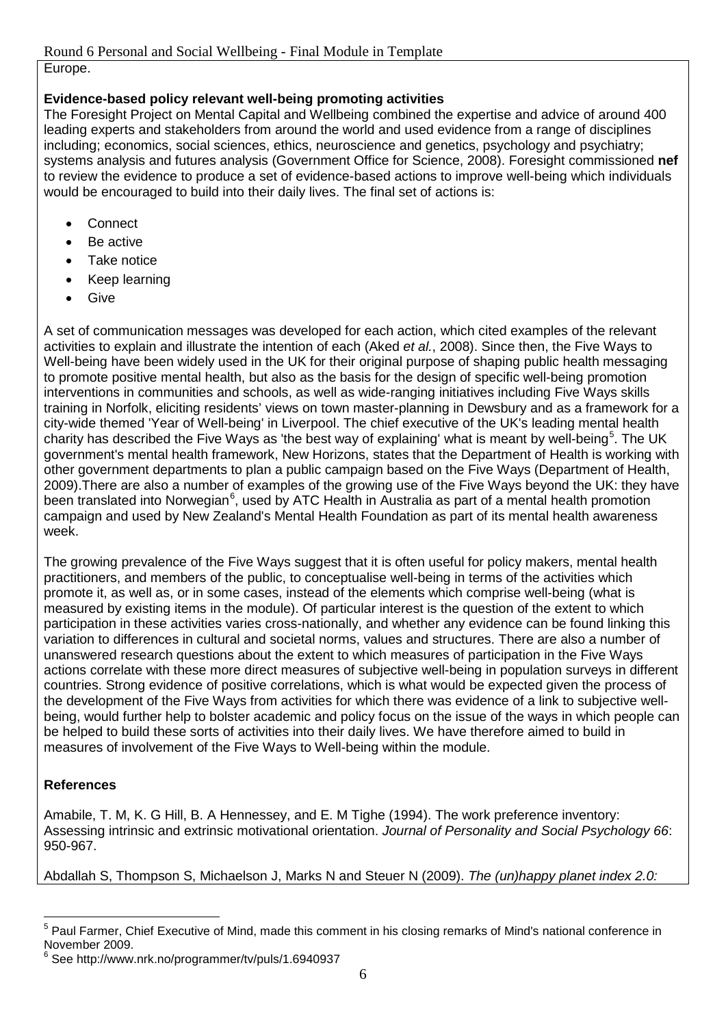# Europe.

# **Evidence-based policy relevant well-being promoting activities**

The Foresight Project on Mental Capital and Wellbeing combined the expertise and advice of around 400 leading experts and stakeholders from around the world and used evidence from a range of disciplines including; economics, social sciences, ethics, neuroscience and genetics, psychology and psychiatry; systems analysis and futures analysis (Government Office for Science, 2008). Foresight commissioned **nef** to review the evidence to produce a set of evidence-based actions to improve well-being which individuals would be encouraged to build into their daily lives. The final set of actions is:

- **Connect**
- Be active
- Take notice
- Keep learning
- **Give**

A set of communication messages was developed for each action, which cited examples of the relevant activities to explain and illustrate the intention of each (Aked *et al.*, 2008). Since then, the Five Ways to Well-being have been widely used in the UK for their original purpose of shaping public health messaging to promote positive mental health, but also as the basis for the design of specific well-being promotion interventions in communities and schools, as well as wide-ranging initiatives including Five Ways skills training in Norfolk, eliciting residents' views on town master-planning in Dewsbury and as a framework for a city-wide themed 'Year of Well-being' in Liverpool. The chief executive of the UK's leading mental health charity has described the Five Ways as 'the best way of explaining' what is meant by well-being $^5$  $^5$ . The UK government's mental health framework, New Horizons, states that the Department of Health is working with other government departments to plan a public campaign based on the Five Ways (Department of Health, 2009).There are also a number of examples of the growing use of the Five Ways beyond the UK: they have been translated into Norwegian<sup>[6](#page-5-1)</sup>, used by ATC Health in Australia as part of a mental health promotion campaign and used by New Zealand's Mental Health Foundation as part of its mental health awareness week.

The growing prevalence of the Five Ways suggest that it is often useful for policy makers, mental health practitioners, and members of the public, to conceptualise well-being in terms of the activities which promote it, as well as, or in some cases, instead of the elements which comprise well-being (what is measured by existing items in the module). Of particular interest is the question of the extent to which participation in these activities varies cross-nationally, and whether any evidence can be found linking this variation to differences in cultural and societal norms, values and structures. There are also a number of unanswered research questions about the extent to which measures of participation in the Five Ways actions correlate with these more direct measures of subjective well-being in population surveys in different countries. Strong evidence of positive correlations, which is what would be expected given the process of the development of the Five Ways from activities for which there was evidence of a link to subjective wellbeing, would further help to bolster academic and policy focus on the issue of the ways in which people can be helped to build these sorts of activities into their daily lives. We have therefore aimed to build in measures of involvement of the Five Ways to Well-being within the module.

# **References**

Amabile, T. M, K. G Hill, B. A Hennessey, and E. M Tighe (1994). The work preference inventory: Assessing intrinsic and extrinsic motivational orientation. *Journal of Personality and Social Psychology 66*: 950-967.

Abdallah S, Thompson S, Michaelson J, Marks N and Steuer N (2009). *The (un)happy planet index 2.0:* 

<span id="page-5-0"></span><sup>5</sup> Paul Farmer, Chief Executive of Mind, made this comment in his closing remarks of Mind's national conference in November 2009. -

<span id="page-5-1"></span><sup>6</sup> See http://www.nrk.no/programmer/tv/puls/1.6940937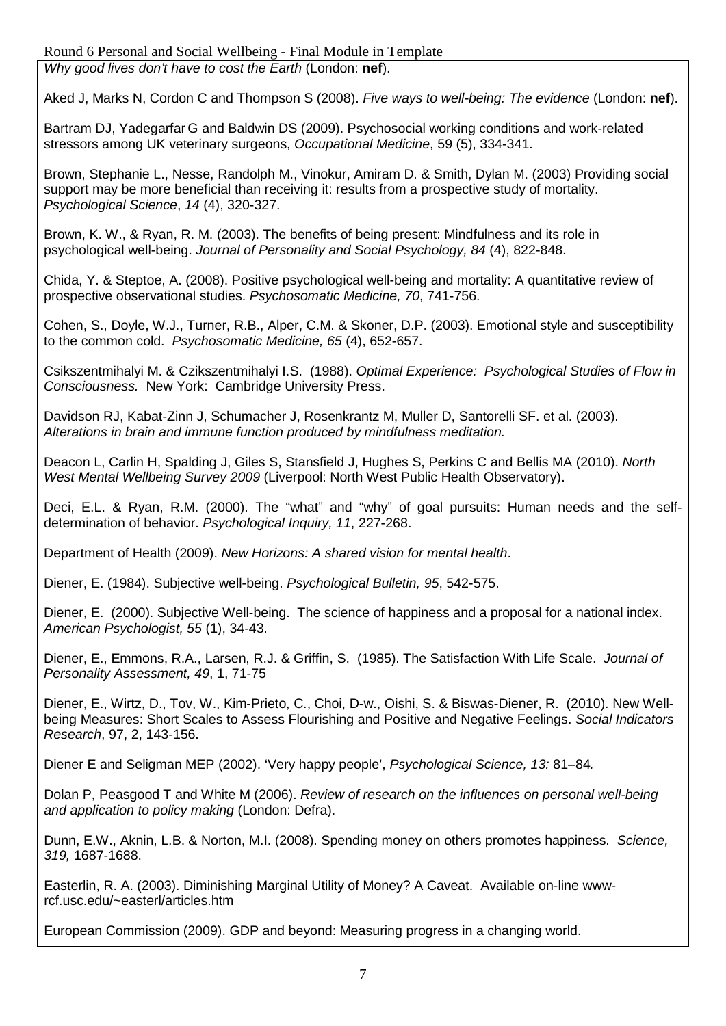#### Round 6 Personal and Social Wellbeing - Final Module in Template *Why good lives don't have to cost the Earth* (London: **nef**).

Aked J, Marks N, Cordon C and Thompson S (2008). *Five ways to well-being: The evidence* (London: **nef**).

Bartram DJ, Yadegarfar G and Baldwin DS (2009). Psychosocial working conditions and work-related stressors among UK veterinary surgeons, *Occupational Medicine*, 59 (5), 334-341.

Brown, Stephanie L., Nesse, Randolph M., Vinokur, Amiram D. & Smith, Dylan M. (2003) Providing social support may be more beneficial than receiving it: results from a prospective study of mortality. *Psychological Science*, *14* (4), 320-327.

Brown, K. W., & Ryan, R. M. (2003). The benefits of being present: Mindfulness and its role in psychological well-being. *Journal of Personality and Social Psychology, 84* (4), 822-848.

Chida, Y. & Steptoe, A. (2008). Positive psychological well-being and mortality: A quantitative review of prospective observational studies. *Psychosomatic Medicine, 70*, 741-756.

Cohen, S., Doyle, W.J., Turner, R.B., Alper, C.M. & Skoner, D.P. (2003). Emotional style and susceptibility to the common cold. *Psychosomatic Medicine, 65* (4), 652-657.

Csikszentmihalyi M. & Czikszentmihalyi I.S. (1988). *Optimal Experience: Psychological Studies of Flow in Consciousness.* New York: Cambridge University Press.

Davidson RJ, Kabat-Zinn J, Schumacher J, Rosenkrantz M, Muller D, Santorelli SF. et al. (2003). *Alterations in brain and immune function produced by mindfulness meditation.*

Deacon L, Carlin H, Spalding J, Giles S, Stansfield J, Hughes S, Perkins C and Bellis MA (2010). *North West Mental Wellbeing Survey 2009* (Liverpool: North West Public Health Observatory).

Deci, E.L. & Ryan, R.M. (2000). The "what" and "why" of goal pursuits: Human needs and the selfdetermination of behavior. *Psychological Inquiry, 11*, 227-268.

Department of Health (2009). *New Horizons: A shared vision for mental health*.

Diener, E. (1984). Subjective well-being. *Psychological Bulletin, 95*, 542-575.

Diener, E. (2000). Subjective Well-being. The science of happiness and a proposal for a national index. *American Psychologist, 55* (1), 34-43.

Diener, E., Emmons, R.A., Larsen, R.J. & Griffin, S. (1985). The Satisfaction With Life Scale. *Journal of Personality Assessment, 49*, 1, 71-75

Diener, E., Wirtz, D., Tov, W., Kim-Prieto, C., Choi, D-w., Oishi, S. & Biswas-Diener, R. (2010). New Wellbeing Measures: Short Scales to Assess Flourishing and Positive and Negative Feelings. *Social Indicators Research*, 97, 2, 143-156.

Diener E and Seligman MEP (2002). 'Very happy people', *Psychological Science, 13:* 81–84*.*

Dolan P, Peasgood T and White M (2006). *Review of research on the influences on personal well-being and application to policy making* (London: Defra).

Dunn, E.W., Aknin, L.B. & Norton, M.I. (2008). Spending money on others promotes happiness. *Science, 319,* 1687-1688.

Easterlin, R. A. (2003). Diminishing Marginal Utility of Money? A Caveat. Available on-line wwwrcf.usc.edu/~easterl/articles.htm

European Commission (2009). GDP and beyond: Measuring progress in a changing world.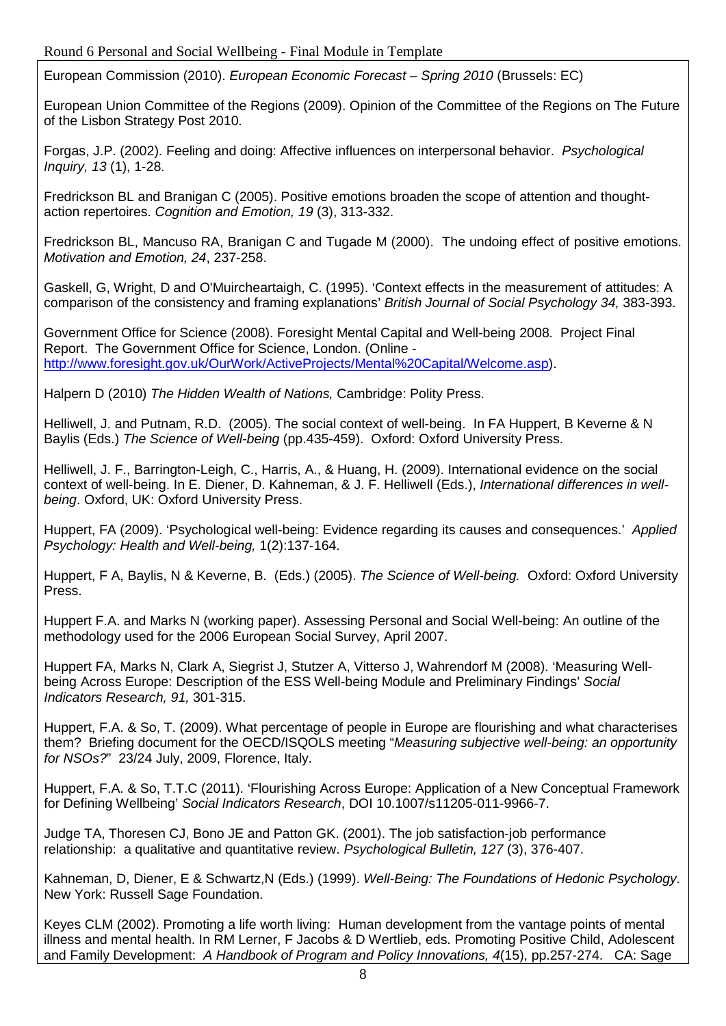European Commission (2010). *European Economic Forecast – Spring 2010* (Brussels: EC)

European Union Committee of the Regions (2009). Opinion of the Committee of the Regions on The Future of the Lisbon Strategy Post 2010.

Forgas, J.P. (2002). Feeling and doing: Affective influences on interpersonal behavior. *Psychological Inquiry, 13* (1), 1-28.

Fredrickson BL and Branigan C (2005). Positive emotions broaden the scope of attention and thoughtaction repertoires. *Cognition and Emotion, 19* (3), 313-332.

Fredrickson BL, Mancuso RA, Branigan C and Tugade M (2000). The undoing effect of positive emotions. *Motivation and Emotion, 24*, 237-258.

Gaskell, G, Wright, D and O'Muircheartaigh, C. (1995). 'Context effects in the measurement of attitudes: A comparison of the consistency and framing explanations' *British Journal of Social Psychology 34,* 383-393.

Government Office for Science (2008). Foresight Mental Capital and Well-being 2008. Project Final Report. The Government Office for Science, London. (Online [http://www.foresight.gov.uk/OurWork/ActiveProjects/Mental%20Capital/Welcome.asp\)](http://www.foresight.gov.uk/OurWork/ActiveProjects/Mental%20Capital/Welcome.asp).

Halpern D (2010) *The Hidden Wealth of Nations,* Cambridge: Polity Press.

Helliwell, J. and Putnam, R.D. (2005). The social context of well-being. In FA Huppert, B Keverne & N Baylis (Eds.) *The Science of Well-being* (pp.435-459). Oxford: Oxford University Press.

Helliwell, J. F., Barrington-Leigh, C., Harris, A., & Huang, H. (2009). International evidence on the social context of well-being. In E. Diener, D. Kahneman, & J. F. Helliwell (Eds.), *International differences in wellbeing*. Oxford, UK: Oxford University Press.

Huppert, FA (2009). 'Psychological well-being: Evidence regarding its causes and consequences.' *Applied Psychology: Health and Well-being,* 1(2):137-164.

Huppert, F A, Baylis, N & Keverne, B. (Eds.) (2005). *The Science of Well-being.* Oxford: Oxford University Press.

Huppert F.A. and Marks N (working paper). Assessing Personal and Social Well-being: An outline of the methodology used for the 2006 European Social Survey, April 2007.

Huppert FA, Marks N, Clark A, Siegrist J, Stutzer A, Vitterso J, Wahrendorf M (2008). 'Measuring Wellbeing Across Europe: Description of the ESS Well-being Module and Preliminary Findings' *Social Indicators Research, 91,* 301-315.

Huppert, F.A. & So, T. (2009). What percentage of people in Europe are flourishing and what characterises them? Briefing document for the OECD/ISQOLS meeting "*Measuring subjective well-being: an opportunity for NSOs?*" 23/24 July, 2009, Florence, Italy.

Huppert, F.A. & So, T.T.C (2011). 'Flourishing Across Europe: Application of a New Conceptual Framework for Defining Wellbeing' *Social Indicators Research*, DOI 10.1007/s11205-011-9966-7.

Judge TA, Thoresen CJ, Bono JE and Patton GK. (2001). The job satisfaction-job performance relationship: a qualitative and quantitative review. *Psychological Bulletin, 127* (3), 376-407.

Kahneman, D, Diener, E & Schwartz,N (Eds.) (1999). *Well-Being: The Foundations of Hedonic Psychology.* New York: Russell Sage Foundation.

Keyes CLM (2002). Promoting a life worth living: Human development from the vantage points of mental illness and mental health. In RM Lerner, F Jacobs & D Wertlieb, eds. Promoting Positive Child, Adolescent and Family Development: *A Handbook of Program and Policy Innovations, 4*(15), pp.257-274. CA: Sage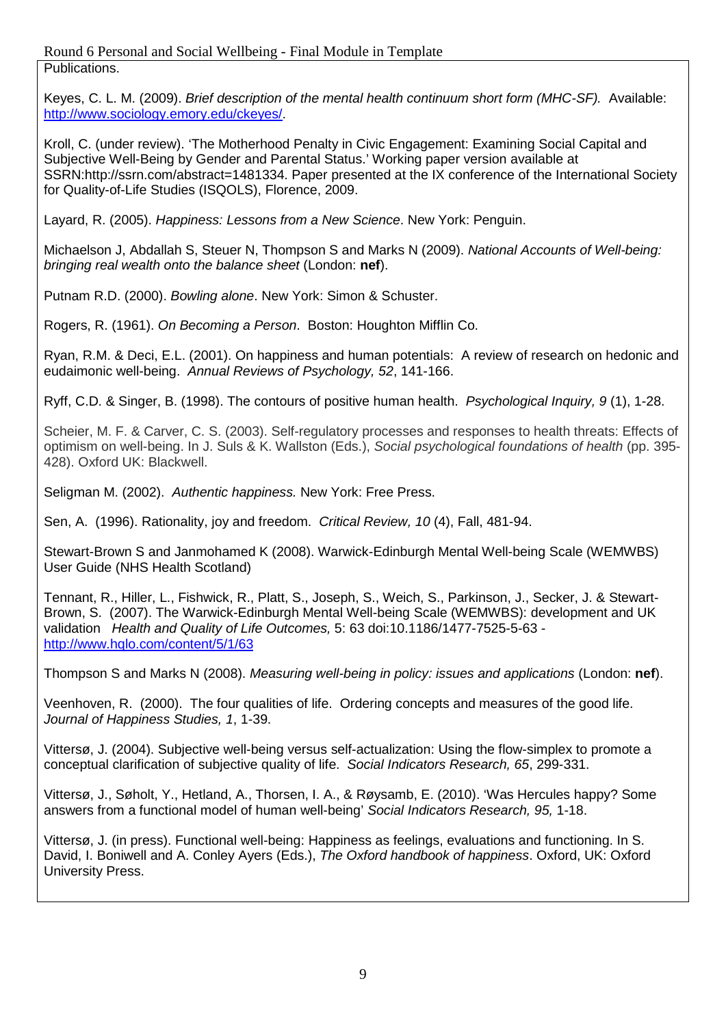Round 6 Personal and Social Wellbeing - Final Module in Template Publications.

Keyes, C. L. M. (2009). *Brief description of the mental health continuum short form (MHC-SF).* Available: [http://www.sociology.emory.edu/ckeyes/.](http://www.sociology.emory.edu/ckeyes/)

Kroll, C. (under review). 'The Motherhood Penalty in Civic Engagement: Examining Social Capital and Subjective Well-Being by Gender and Parental Status.' Working paper version available at SSRN:http://ssrn.com/abstract=1481334. Paper presented at the IX conference of the International Society for Quality-of-Life Studies (ISQOLS), Florence, 2009.

Layard, R. (2005). *Happiness: Lessons from a New Science*. New York: Penguin.

Michaelson J, Abdallah S, Steuer N, Thompson S and Marks N (2009). *National Accounts of Well-being: bringing real wealth onto the balance sheet* (London: **nef**).

Putnam R.D. (2000). *Bowling alone*. New York: Simon & Schuster.

Rogers, R. (1961). *On Becoming a Person*. Boston: Houghton Mifflin Co.

Ryan, R.M. & Deci, E.L. (2001). On happiness and human potentials: A review of research on hedonic and eudaimonic well-being. *Annual Reviews of Psychology, 52*, 141-166.

Ryff, C.D. & Singer, B. (1998). The contours of positive human health. *Psychological Inquiry, 9* (1), 1-28.

Scheier, M. F. & Carver, C. S. (2003). Self-regulatory processes and responses to health threats: Effects of optimism on well-being. In J. Suls & K. Wallston (Eds.), *Social psychological foundations of health* (pp. 395- 428). Oxford UK: Blackwell.

Seligman M. (2002). *Authentic happiness.* New York: Free Press.

Sen, A. (1996). Rationality, joy and freedom. *Critical Review, 10* (4), Fall, 481-94.

Stewart-Brown S and Janmohamed K (2008). Warwick-Edinburgh Mental Well-being Scale (WEMWBS) User Guide (NHS Health Scotland)

Tennant, R., Hiller, L., Fishwick, R., Platt, S., Joseph, S., Weich, S., Parkinson, J., Secker, J. & Stewart-Brown, S. (2007). The Warwick-Edinburgh Mental Well-being Scale (WEMWBS): development and UK validation *Health and Quality of Life Outcomes,* 5: 63 doi:10.1186/1477-7525-5-63 <http://www.hqlo.com/content/5/1/63>

Thompson S and Marks N (2008). *Measuring well-being in policy: issues and applications* (London: **nef**).

Veenhoven, R. (2000). The four qualities of life. Ordering concepts and measures of the good life. *Journal of Happiness Studies, 1*, 1-39.

Vittersø, J. (2004). Subjective well-being versus self-actualization: Using the flow-simplex to promote a conceptual clarification of subjective quality of life. *Social Indicators Research, 65*, 299-331.

Vittersø, J., Søholt, Y., Hetland, A., Thorsen, I. A., & Røysamb, E. (2010). 'Was Hercules happy? Some answers from a functional model of human well-being' *Social Indicators Research, 95,* 1-18.

Vittersø, J. (in press). Functional well-being: Happiness as feelings, evaluations and functioning. In S. David, I. Boniwell and A. Conley Ayers (Eds.), *The Oxford handbook of happiness*. Oxford, UK: Oxford University Press.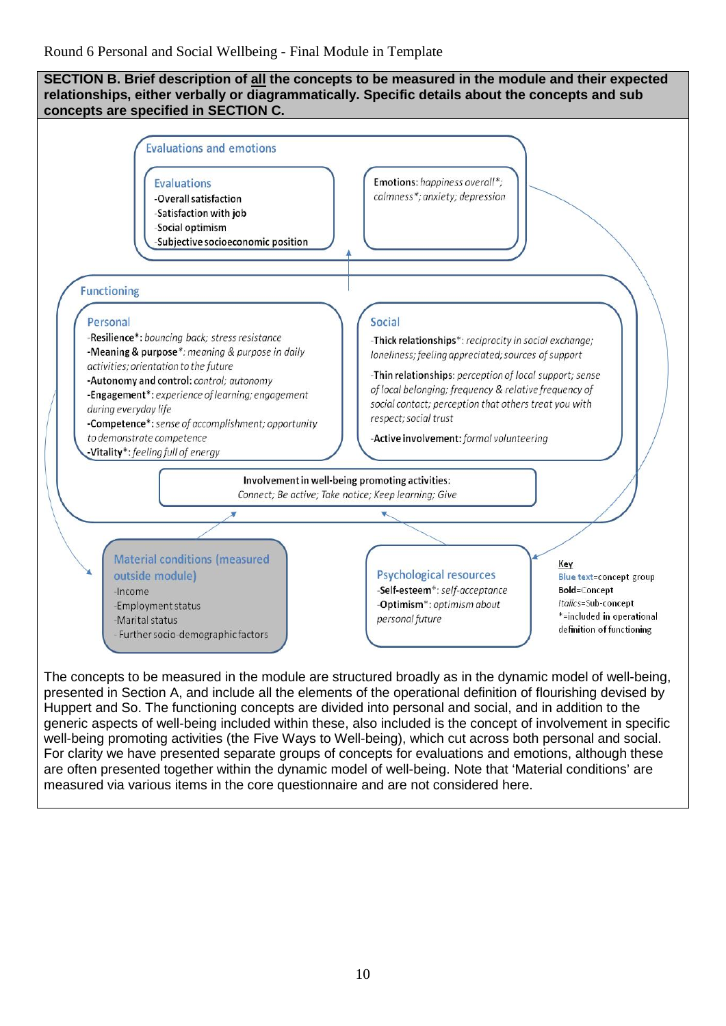

The concepts to be measured in the module are structured broadly as in the dynamic model of well-being, presented in Section A, and include all the elements of the operational definition of flourishing devised by Huppert and So. The functioning concepts are divided into personal and social, and in addition to the generic aspects of well-being included within these, also included is the concept of involvement in specific well-being promoting activities (the Five Ways to Well-being), which cut across both personal and social. For clarity we have presented separate groups of concepts for evaluations and emotions, although these are often presented together within the dynamic model of well-being. Note that 'Material conditions' are measured via various items in the core questionnaire and are not considered here.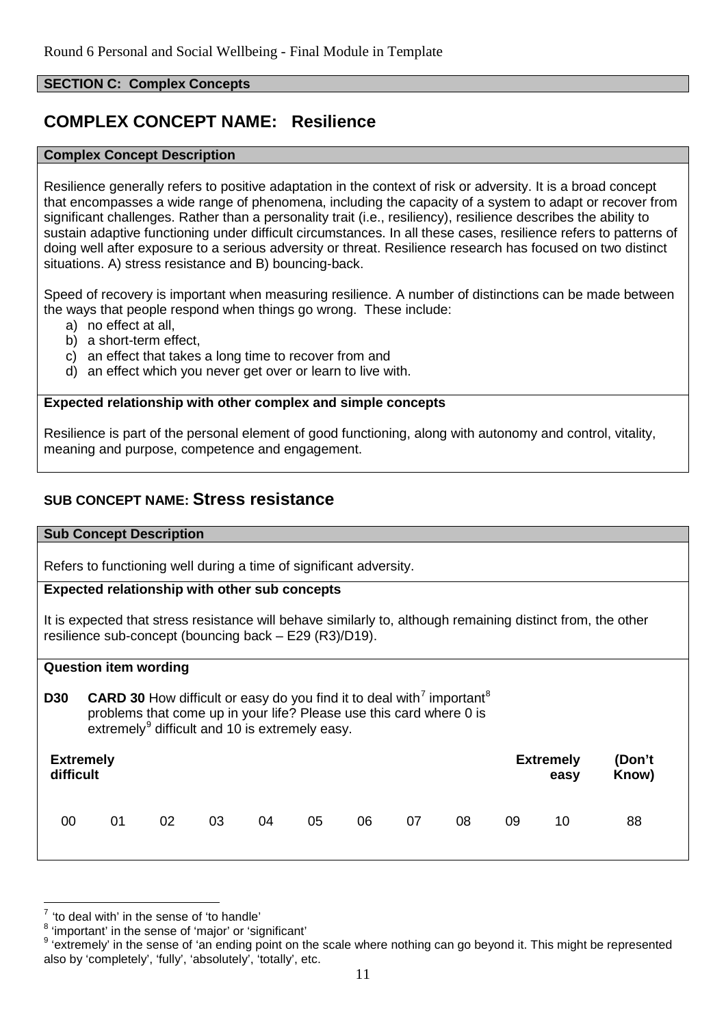#### **SECTION C: Complex Concepts**

# **COMPLEX CONCEPT NAME: Resilience**

#### **Complex Concept Description**

Resilience generally refers to positive adaptation in the context of risk or adversity. It is a broad concept that encompasses a wide range of phenomena, including the capacity of a system to adapt or recover from significant challenges. Rather than a personality trait (i.e., resiliency), resilience describes the ability to sustain adaptive functioning under difficult circumstances. In all these cases, resilience refers to patterns of doing well after exposure to a serious adversity or threat. Resilience research has focused on two distinct situations. A) stress resistance and B) bouncing-back.

Speed of recovery is important when measuring resilience. A number of distinctions can be made between the ways that people respond when things go wrong. These include:

- a) no effect at all,
- b) a short-term effect,
- c) an effect that takes a long time to recover from and
- d) an effect which you never get over or learn to live with.

# **Expected relationship with other complex and simple concepts**

Resilience is part of the personal element of good functioning, along with autonomy and control, vitality, meaning and purpose, competence and engagement.

# **SUB CONCEPT NAME: Stress resistance**

#### **Sub Concept Description**

Refers to functioning well during a time of significant adversity.

#### **Expected relationship with other sub concepts**

It is expected that stress resistance will behave similarly to, although remaining distinct from, the other resilience sub-concept (bouncing back – E29 (R3)/D19).

#### **Question item wording**

**D30 CARD 30** How difficult or easy do you find it to deal with<sup>[7](#page-10-0)</sup> important<sup>[8](#page-10-1)</sup> problems that come up in your life? Please use this card where 0 is extremely $9$  difficult and 10 is extremely easy.

| <b>Extremely</b> |    |    |    |    |    |    |    |    | <b>Extremely</b> | (Don't |    |
|------------------|----|----|----|----|----|----|----|----|------------------|--------|----|
| difficult        |    |    |    |    |    |    |    |    | easy             | Know)  |    |
| 00               | 01 | 02 | 03 | 04 | 05 | 06 | 07 | 08 | 09               | 10     | 88 |

-

<span id="page-10-0"></span> $\frac{7}{1}$  'to deal with' in the sense of 'to handle'

<span id="page-10-1"></span><sup>8</sup> 'important' in the sense of 'major' or 'significant'

<span id="page-10-2"></span><sup>&</sup>lt;sup>9</sup> 'extremely' in the sense of 'an ending point on the scale where nothing can go beyond it. This might be represented also by 'completely', 'fully', 'absolutely', 'totally', etc.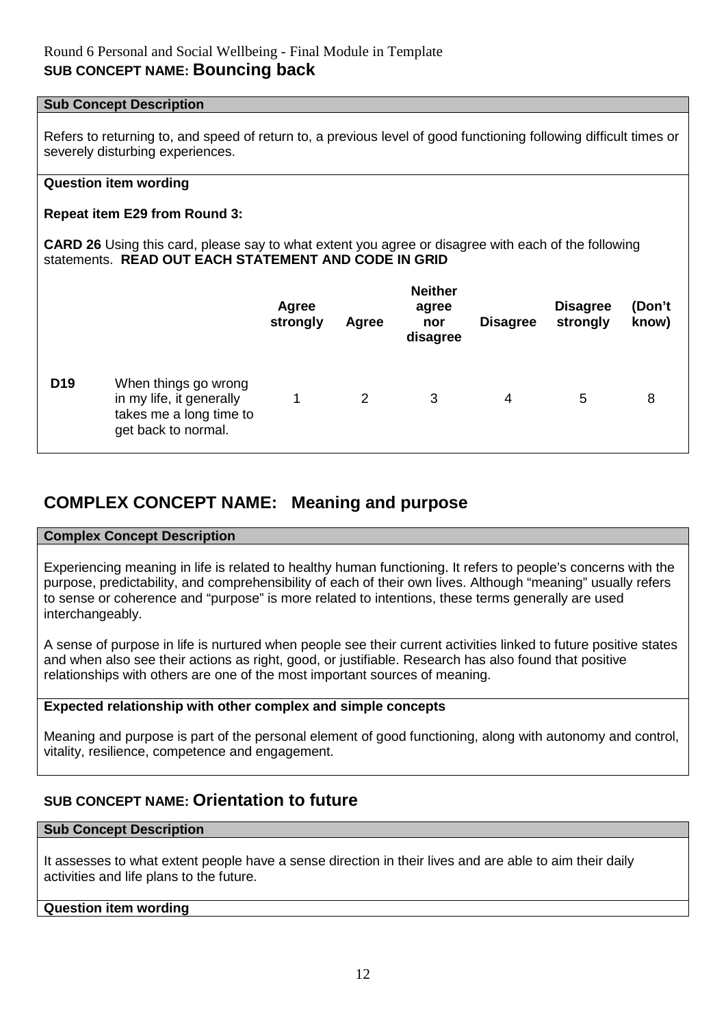#### **Sub Concept Description**

Refers to returning to, and speed of return to, a previous level of good functioning following difficult times or severely disturbing experiences.

# **Question item wording**

# **Repeat item E29 from Round 3:**

**CARD 26** Using this card, please say to what extent you agree or disagree with each of the following statements. **READ OUT EACH STATEMENT AND CODE IN GRID**

|                 |                                                                                                    | Agree<br>strongly | Agree | <b>Neither</b><br>agree<br>nor<br>disagree | <b>Disagree</b> | <b>Disagree</b><br>strongly | (Don't<br>know) |
|-----------------|----------------------------------------------------------------------------------------------------|-------------------|-------|--------------------------------------------|-----------------|-----------------------------|-----------------|
| D <sub>19</sub> | When things go wrong<br>in my life, it generally<br>takes me a long time to<br>get back to normal. |                   | 2     | 3                                          | 4               | 5                           | 8               |

# **COMPLEX CONCEPT NAME: Meaning and purpose**

# **Complex Concept Description**

Experiencing meaning in life is related to healthy human functioning. It refers to people's concerns with the purpose, predictability, and comprehensibility of each of their own lives. Although "meaning" usually refers to sense or coherence and "purpose" is more related to intentions, these terms generally are used interchangeably.

A sense of purpose in life is nurtured when people see their current activities linked to future positive states and when also see their actions as right, good, or justifiable. Research has also found that positive relationships with others are one of the most important sources of meaning.

# **Expected relationship with other complex and simple concepts**

Meaning and purpose is part of the personal element of good functioning, along with autonomy and control, vitality, resilience, competence and engagement.

# **SUB CONCEPT NAME: Orientation to future**

#### **Sub Concept Description**

It assesses to what extent people have a sense direction in their lives and are able to aim their daily activities and life plans to the future.

#### **Question item wording**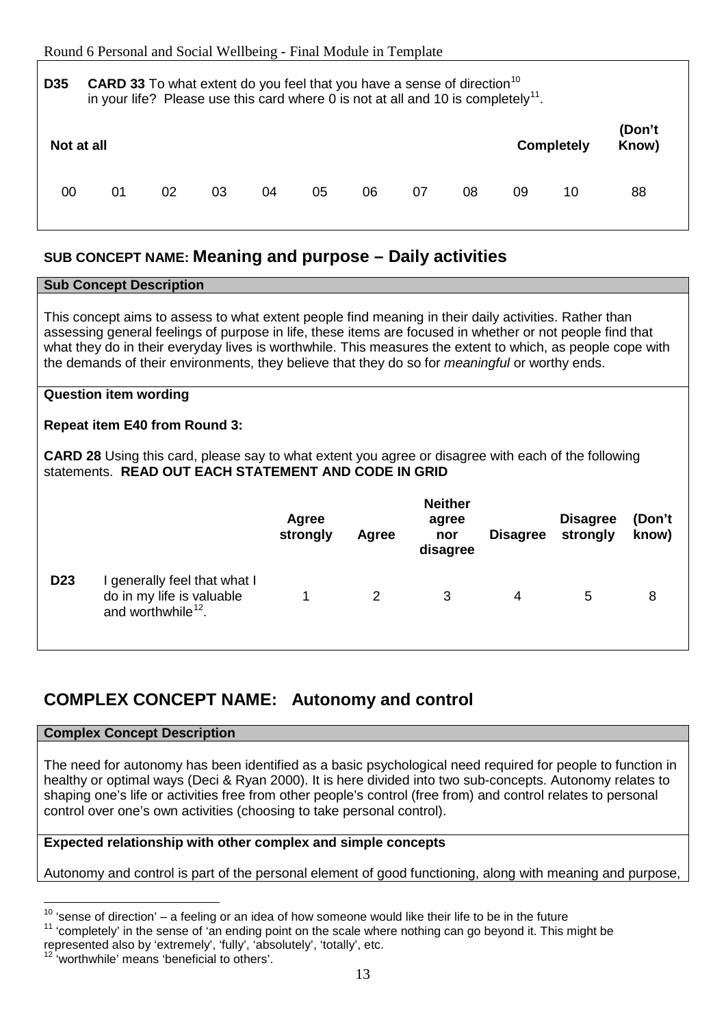| D <sub>35</sub> | <b>CARD 33</b> To what extent do you feel that you have a sense of direction <sup>10</sup><br>in your life? Please use this card where 0 is not at all and 10 is completely <sup>11</sup> . |    |    |    |    |    |    |    |    |                   |                 |
|-----------------|---------------------------------------------------------------------------------------------------------------------------------------------------------------------------------------------|----|----|----|----|----|----|----|----|-------------------|-----------------|
| Not at all      |                                                                                                                                                                                             |    |    |    |    |    |    |    |    | <b>Completely</b> | (Don't<br>Know) |
| 00              | 01                                                                                                                                                                                          | 02 | 03 | 04 | 05 | 06 | 07 | 08 | 09 | 10                | 88              |

# **SUB CONCEPT NAME: Meaning and purpose – Daily activities**

|                                                                                                                                                                                                                                                                                                                                                                                                                                           | <b>Sub Concept Description</b>                                                                                                                                                                             |                   |       |                                            |                 |                             |                 |  |  |
|-------------------------------------------------------------------------------------------------------------------------------------------------------------------------------------------------------------------------------------------------------------------------------------------------------------------------------------------------------------------------------------------------------------------------------------------|------------------------------------------------------------------------------------------------------------------------------------------------------------------------------------------------------------|-------------------|-------|--------------------------------------------|-----------------|-----------------------------|-----------------|--|--|
| This concept aims to assess to what extent people find meaning in their daily activities. Rather than<br>assessing general feelings of purpose in life, these items are focused in whether or not people find that<br>what they do in their everyday lives is worthwhile. This measures the extent to which, as people cope with<br>the demands of their environments, they believe that they do so for <i>meaningful</i> or worthy ends. |                                                                                                                                                                                                            |                   |       |                                            |                 |                             |                 |  |  |
|                                                                                                                                                                                                                                                                                                                                                                                                                                           | <b>Question item wording</b>                                                                                                                                                                               |                   |       |                                            |                 |                             |                 |  |  |
|                                                                                                                                                                                                                                                                                                                                                                                                                                           | <b>Repeat item E40 from Round 3:</b><br><b>CARD 28</b> Using this card, please say to what extent you agree or disagree with each of the following<br>statements. READ OUT EACH STATEMENT AND CODE IN GRID |                   |       |                                            |                 |                             |                 |  |  |
|                                                                                                                                                                                                                                                                                                                                                                                                                                           |                                                                                                                                                                                                            | Agree<br>strongly | Agree | <b>Neither</b><br>agree<br>nor<br>disagree | <b>Disagree</b> | <b>Disagree</b><br>strongly | (Don't<br>know) |  |  |
| D <sub>23</sub>                                                                                                                                                                                                                                                                                                                                                                                                                           | I generally feel that what I<br>do in my life is valuable<br>and worthwhile <sup>12</sup> .                                                                                                                |                   | 2     | 3                                          | 4               | 5                           | 8               |  |  |

# **COMPLEX CONCEPT NAME: Autonomy and control**

# **Complex Concept Description**

The need for autonomy has been identified as a basic psychological need required for people to function in healthy or optimal ways (Deci & Ryan 2000). It is here divided into two sub-concepts. Autonomy relates to shaping one's life or activities free from other people's control (free from) and control relates to personal control over one's own activities (choosing to take personal control).

# **Expected relationship with other complex and simple concepts**

Autonomy and control is part of the personal element of good functioning, along with meaning and purpose,

<span id="page-12-0"></span> $10$  'sense of direction' – a feeling or an idea of how someone would like their life to be in the future

<span id="page-12-1"></span> $11$  'completely' in the sense of 'an ending point on the scale where nothing can go beyond it. This might be represented also by 'extremely', 'fully', 'absolutely', 'totally', etc.

<span id="page-12-2"></span><sup>&#</sup>x27;worthwhile' means 'beneficial to others'.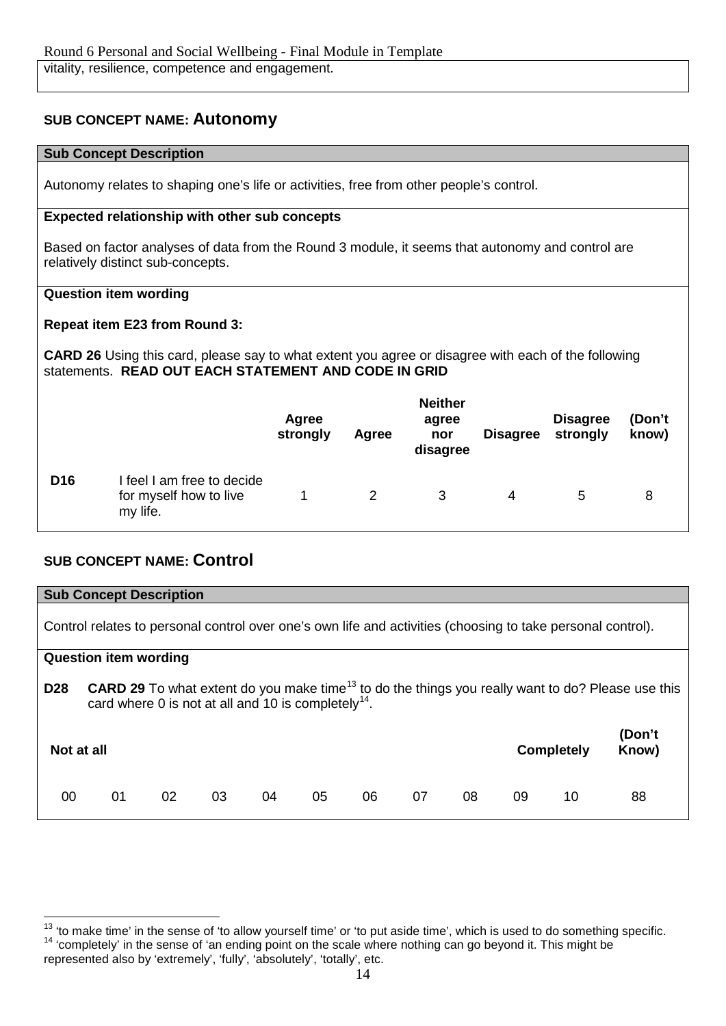# **SUB CONCEPT NAME: Autonomy**

# **Sub Concept Description**

Autonomy relates to shaping one's life or activities, free from other people's control.

# **Expected relationship with other sub concepts**

Based on factor analyses of data from the Round 3 module, it seems that autonomy and control are relatively distinct sub-concepts.

# **Question item wording**

# **Repeat item E23 from Round 3:**

**CARD 26** Using this card, please say to what extent you agree or disagree with each of the following statements. **READ OUT EACH STATEMENT AND CODE IN GRID**

|                 |                                                                  | Agree<br>strongly | Agree | <b>Neither</b><br>agree<br>nor<br>disagree | <b>Disagree</b> | <b>Disagree</b><br>strongly | (Don't<br>know) |
|-----------------|------------------------------------------------------------------|-------------------|-------|--------------------------------------------|-----------------|-----------------------------|-----------------|
| D <sub>16</sub> | I feel I am free to decide<br>for myself how to live<br>my life. |                   | 2     | 3                                          | 4               | 5                           | 8               |

# **SUB CONCEPT NAME: Control**

|                                                                                                             |                                                                                                                                                                                         | <b>Sub Concept Description</b> |    |    |    |    |    |    |    |                   |                 |
|-------------------------------------------------------------------------------------------------------------|-----------------------------------------------------------------------------------------------------------------------------------------------------------------------------------------|--------------------------------|----|----|----|----|----|----|----|-------------------|-----------------|
| Control relates to personal control over one's own life and activities (choosing to take personal control). |                                                                                                                                                                                         |                                |    |    |    |    |    |    |    |                   |                 |
|                                                                                                             |                                                                                                                                                                                         | <b>Question item wording</b>   |    |    |    |    |    |    |    |                   |                 |
| <b>D28</b>                                                                                                  | <b>CARD 29</b> To what extent do you make time <sup>13</sup> to do the things you really want to do? Please use this<br>card where 0 is not at all and 10 is completely <sup>14</sup> . |                                |    |    |    |    |    |    |    |                   |                 |
| Not at all                                                                                                  |                                                                                                                                                                                         |                                |    |    |    |    |    |    |    | <b>Completely</b> | (Don't<br>Know) |
| 00                                                                                                          | 01                                                                                                                                                                                      | 02                             | 03 | 04 | 05 | 06 | 07 | 08 | 09 | 10                | 88              |

<span id="page-13-1"></span><span id="page-13-0"></span><sup>&</sup>lt;sup>14</sup> 'completely' in the sense of 'an ending point on the scale where nothing can go beyond it. This might be represented also by 'extremely', 'fully', 'absolutely', 'totally', etc. <sup>13</sup> 'to make time' in the sense of 'to allow yourself time' or 'to put aside time', which is used to do something specific.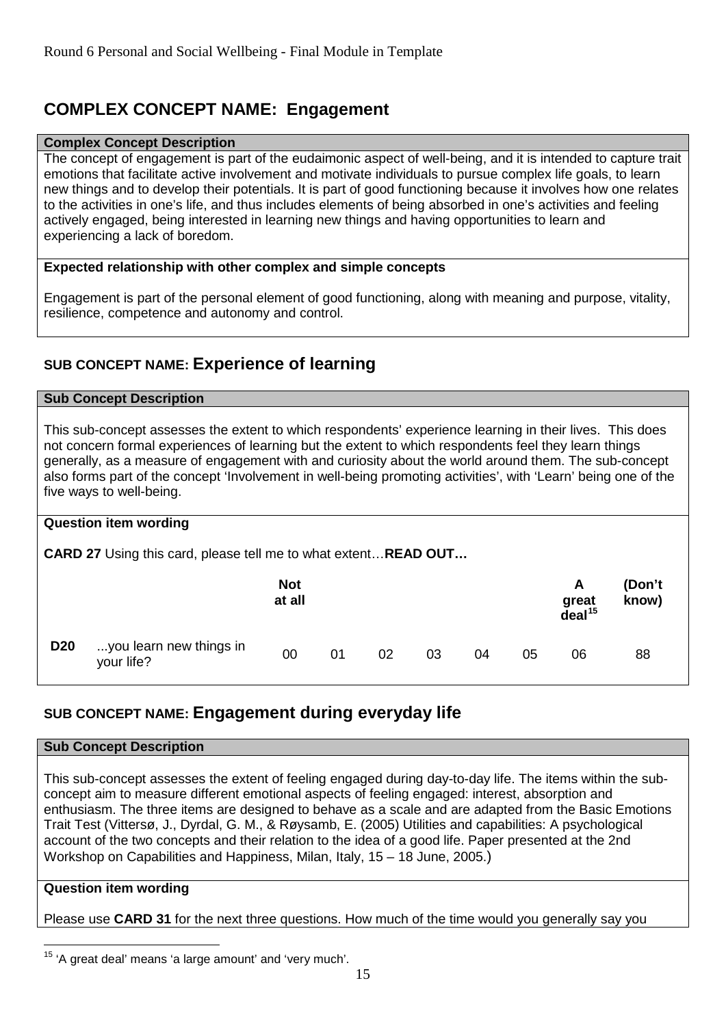# **COMPLEX CONCEPT NAME: Engagement**

# **Complex Concept Description**

The concept of engagement is part of the eudaimonic aspect of well-being, and it is intended to capture trait emotions that facilitate active involvement and motivate individuals to pursue complex life goals, to learn new things and to develop their potentials. It is part of good functioning because it involves how one relates to the activities in one's life, and thus includes elements of being absorbed in one's activities and feeling actively engaged, being interested in learning new things and having opportunities to learn and experiencing a lack of boredom.

# **Expected relationship with other complex and simple concepts**

Engagement is part of the personal element of good functioning, along with meaning and purpose, vitality, resilience, competence and autonomy and control.

# **SUB CONCEPT NAME: Experience of learning**

#### **Sub Concept Description**

This sub-concept assesses the extent to which respondents' experience learning in their lives. This does not concern formal experiences of learning but the extent to which respondents feel they learn things generally, as a measure of engagement with and curiosity about the world around them. The sub-concept also forms part of the concept 'Involvement in well-being promoting activities', with 'Learn' being one of the five ways to well-being.

#### **Question item wording**

**CARD 27** Using this card, please tell me to what extent…**READ OUT…**

|            |                                       | <b>Not</b><br>at all |    |    |    |    |    | A<br>great<br>$\overline{deal}^{15}$ | (Don't<br>know) |
|------------|---------------------------------------|----------------------|----|----|----|----|----|--------------------------------------|-----------------|
| <b>D20</b> | you learn new things in<br>your life? | 00                   | 01 | 02 | 03 | 04 | 05 | 06                                   | 88              |

# **SUB CONCEPT NAME: Engagement during everyday life**

#### **Sub Concept Description**

This sub-concept assesses the extent of feeling engaged during day-to-day life. The items within the subconcept aim to measure different emotional aspects of feeling engaged: interest, absorption and enthusiasm. The three items are designed to behave as a scale and are adapted from the Basic Emotions Trait Test (Vittersø, J., Dyrdal, G. M., & Røysamb, E. (2005) Utilities and capabilities: A psychological account of the two concepts and their relation to the idea of a good life. Paper presented at the 2nd Workshop on Capabilities and Happiness, Milan, Italy, 15 – 18 June, 2005.)

# **Question item wording**

Please use **CARD 31** for the next three questions. How much of the time would you generally say you

<span id="page-14-0"></span><sup>&</sup>lt;sup>15</sup> 'A great deal' means 'a large amount' and 'very much'.  $\overline{a}$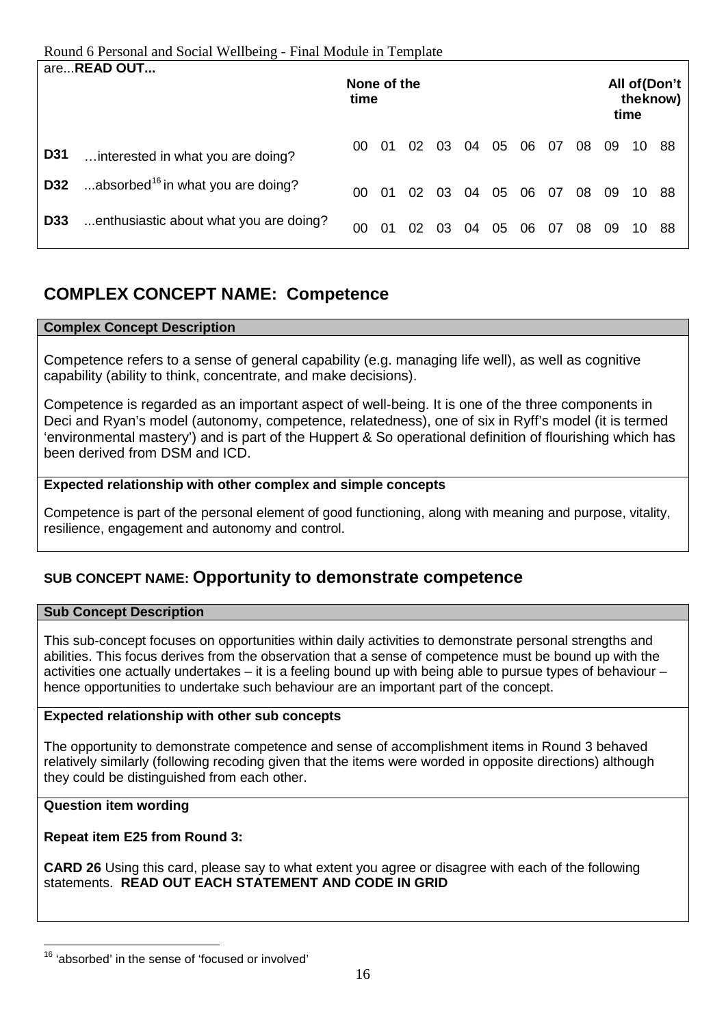Round 6 Personal and Social Wellbeing - Final Module in Template

|            | areREAD OUT                                   | None of the<br>time |    |    |    |    |    |    |    |    |    | time | All of (Don't<br>the know) |
|------------|-----------------------------------------------|---------------------|----|----|----|----|----|----|----|----|----|------|----------------------------|
| <b>D31</b> | interested in what you are doing?             | 00                  | 01 | 02 | 03 | 04 | 05 | 06 | 07 | 08 | 09 | 10   | -88                        |
| D32        | absorbed <sup>16</sup> in what you are doing? | 00                  | 01 | 02 | 03 | 04 | 05 | 06 | 07 | 08 | 09 | 10.  | -88                        |
| <b>D33</b> | enthusiastic about what you are doing?        | 00                  | 01 | 02 | 03 | 04 | 05 | 06 | 07 | 08 | 09 | 10   | 88                         |

# **COMPLEX CONCEPT NAME: Competence**

# **Complex Concept Description**

Competence refers to a sense of general capability (e.g. managing life well), as well as cognitive capability (ability to think, concentrate, and make decisions).

Competence is regarded as an important aspect of well-being. It is one of the three components in Deci and Ryan's model (autonomy, competence, relatedness), one of six in Ryff's model (it is termed 'environmental mastery') and is part of the Huppert & So operational definition of flourishing which has been derived from DSM and ICD.

# **Expected relationship with other complex and simple concepts**

Competence is part of the personal element of good functioning, along with meaning and purpose, vitality, resilience, engagement and autonomy and control.

# **SUB CONCEPT NAME: Opportunity to demonstrate competence**

# **Sub Concept Description**

This sub-concept focuses on opportunities within daily activities to demonstrate personal strengths and abilities. This focus derives from the observation that a sense of competence must be bound up with the activities one actually undertakes – it is a feeling bound up with being able to pursue types of behaviour – hence opportunities to undertake such behaviour are an important part of the concept.

# **Expected relationship with other sub concepts**

The opportunity to demonstrate competence and sense of accomplishment items in Round 3 behaved relatively similarly (following recoding given that the items were worded in opposite directions) although they could be distinguished from each other.

# **Question item wording**

# **Repeat item E25 from Round 3:**

**CARD 26** Using this card, please say to what extent you agree or disagree with each of the following statements. **READ OUT EACH STATEMENT AND CODE IN GRID**

<span id="page-15-0"></span><sup>&</sup>lt;sup>16</sup> 'absorbed' in the sense of 'focused or involved'  $\overline{a}$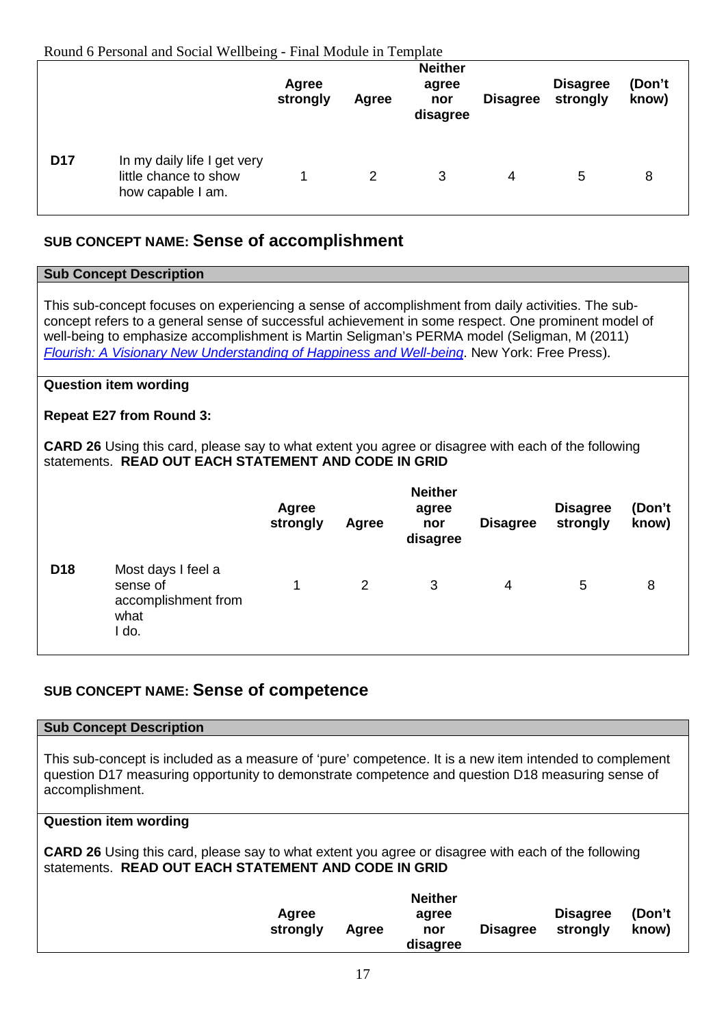Round 6 Personal and Social Wellbeing - Final Module in Template

|            |                                                                           | Agree<br>strongly | Agree | <b>Neither</b><br>agree<br>nor<br>disagree | <b>Disagree</b> | <b>Disagree</b><br>strongly | (Don't<br>know) |  |
|------------|---------------------------------------------------------------------------|-------------------|-------|--------------------------------------------|-----------------|-----------------------------|-----------------|--|
| <b>D17</b> | In my daily life I get very<br>little chance to show<br>how capable I am. | 1                 | 2     | 3                                          | 4               | 5                           | 8               |  |

# **SUB CONCEPT NAME: Sense of accomplishment**

#### **Sub Concept Description** This sub-concept focuses on experiencing a sense of accomplishment from daily activities. The subconcept refers to a general sense of successful achievement in some respect. One prominent model of well-being to emphasize accomplishment is Martin Seligman's PERMA model (Seligman, M (2011) *[Flourish: A Visionary New Understanding of Happiness and Well-being](http://books.google.com.au/books?id=mQ4_UwcCojUC)*. New York: Free Press). **Question item wording Repeat E27 from Round 3: CARD 26** Using this card, please say to what extent you agree or disagree with each of the following statements. **READ OUT EACH STATEMENT AND CODE IN GRID Agree strongly Agree Neither agree nor disagree Disagree Disagree strongly (Don't know) D18** Most days I feel a sense of accomplishment from 1 2 3 4 5 8

# **SUB CONCEPT NAME: Sense of competence**

#### **Sub Concept Description**

what I do.

This sub-concept is included as a measure of 'pure' competence. It is a new item intended to complement question D17 measuring opportunity to demonstrate competence and question D18 measuring sense of accomplishment.

#### **Question item wording**

**CARD 26** Using this card, please say to what extent you agree or disagree with each of the following statements. **READ OUT EACH STATEMENT AND CODE IN GRID**

| Agree<br>strongly | Agree | <b>Neither</b><br>agree<br>nor | <b>Disagree</b> | <b>Disagree</b><br>strongly | (Don't<br>know) |
|-------------------|-------|--------------------------------|-----------------|-----------------------------|-----------------|
|                   |       | disagree                       |                 |                             |                 |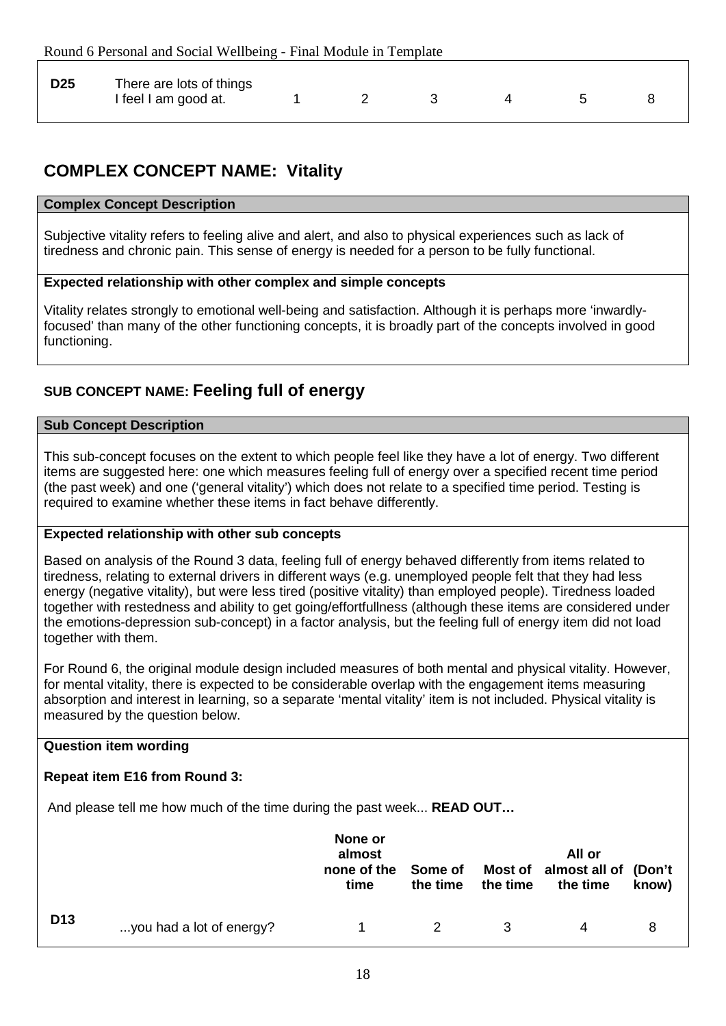| <b>D25</b> | There are lots of things<br>I feel I am good at. |  |  |  |  |  |  |
|------------|--------------------------------------------------|--|--|--|--|--|--|
|------------|--------------------------------------------------|--|--|--|--|--|--|

# **COMPLEX CONCEPT NAME: Vitality**

# **Complex Concept Description**

Subjective vitality refers to feeling alive and alert, and also to physical experiences such as lack of tiredness and chronic pain. This sense of energy is needed for a person to be fully functional.

# **Expected relationship with other complex and simple concepts**

Vitality relates strongly to emotional well-being and satisfaction. Although it is perhaps more 'inwardlyfocused' than many of the other functioning concepts, it is broadly part of the concepts involved in good functioning.

# **SUB CONCEPT NAME: Feeling full of energy**

#### **Sub Concept Description**

This sub-concept focuses on the extent to which people feel like they have a lot of energy. Two different items are suggested here: one which measures feeling full of energy over a specified recent time period (the past week) and one ('general vitality') which does not relate to a specified time period. Testing is required to examine whether these items in fact behave differently.

# **Expected relationship with other sub concepts**

Based on analysis of the Round 3 data, feeling full of energy behaved differently from items related to tiredness, relating to external drivers in different ways (e.g. unemployed people felt that they had less energy (negative vitality), but were less tired (positive vitality) than employed people). Tiredness loaded together with restedness and ability to get going/effortfullness (although these items are considered under the emotions-depression sub-concept) in a factor analysis, but the feeling full of energy item did not load together with them.

For Round 6, the original module design included measures of both mental and physical vitality. However, for mental vitality, there is expected to be considerable overlap with the engagement items measuring absorption and interest in learning, so a separate 'mental vitality' item is not included. Physical vitality is measured by the question below.

# **Question item wording**

# **Repeat item E16 from Round 3:**

And please tell me how much of the time during the past week... **READ OUT…**

|                 |                          | None or<br>almost<br>none of the<br>time | Some of<br>the time | the time | All or<br>Most of almost all of (Don't<br>the time | know) |
|-----------------|--------------------------|------------------------------------------|---------------------|----------|----------------------------------------------------|-------|
| D <sub>13</sub> | you had a lot of energy? |                                          |                     | 3        | 4                                                  | 8     |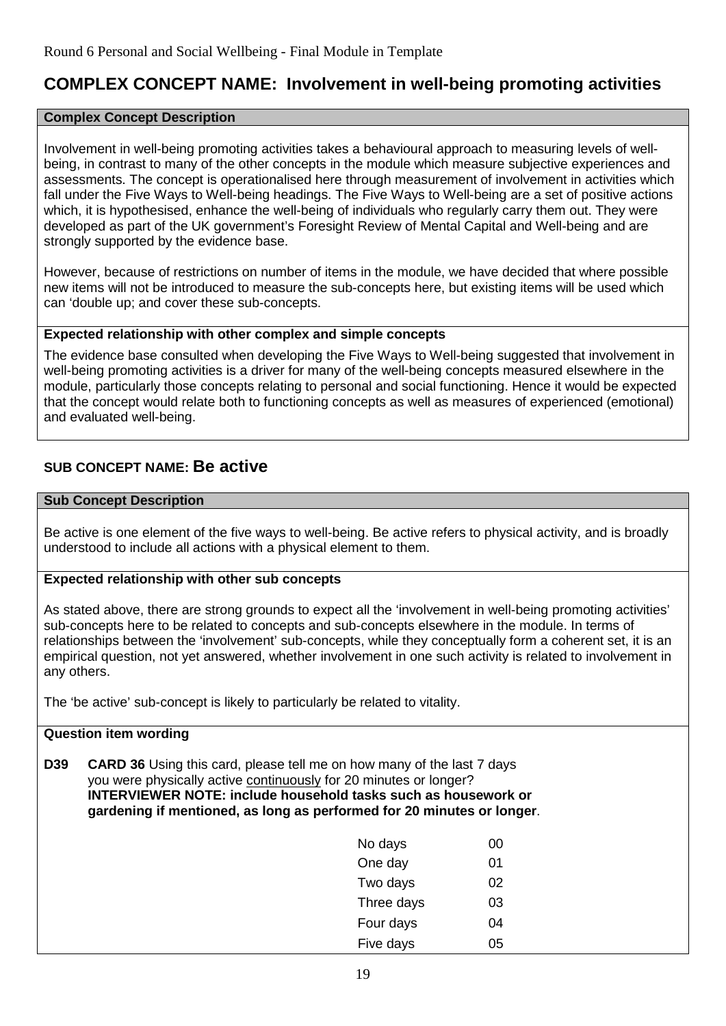# **COMPLEX CONCEPT NAME: Involvement in well-being promoting activities**

# **Complex Concept Description**

Involvement in well-being promoting activities takes a behavioural approach to measuring levels of wellbeing, in contrast to many of the other concepts in the module which measure subjective experiences and assessments. The concept is operationalised here through measurement of involvement in activities which fall under the Five Ways to Well-being headings. The Five Ways to Well-being are a set of positive actions which, it is hypothesised, enhance the well-being of individuals who regularly carry them out. They were developed as part of the UK government's Foresight Review of Mental Capital and Well-being and are strongly supported by the evidence base.

However, because of restrictions on number of items in the module, we have decided that where possible new items will not be introduced to measure the sub-concepts here, but existing items will be used which can 'double up; and cover these sub-concepts.

# **Expected relationship with other complex and simple concepts**

The evidence base consulted when developing the Five Ways to Well-being suggested that involvement in well-being promoting activities is a driver for many of the well-being concepts measured elsewhere in the module, particularly those concepts relating to personal and social functioning. Hence it would be expected that the concept would relate both to functioning concepts as well as measures of experienced (emotional) and evaluated well-being.

# **SUB CONCEPT NAME: Be active**

# **Sub Concept Description**

Be active is one element of the five ways to well-being. Be active refers to physical activity, and is broadly understood to include all actions with a physical element to them.

# **Expected relationship with other sub concepts**

As stated above, there are strong grounds to expect all the 'involvement in well-being promoting activities' sub-concepts here to be related to concepts and sub-concepts elsewhere in the module. In terms of relationships between the 'involvement' sub-concepts, while they conceptually form a coherent set, it is an empirical question, not yet answered, whether involvement in one such activity is related to involvement in any others.

The 'be active' sub-concept is likely to particularly be related to vitality.

# **Question item wording**

**D39 CARD 36** Using this card, please tell me on how many of the last 7 days you were physically active continuously for 20 minutes or longer? **INTERVIEWER NOTE: include household tasks such as housework or gardening if mentioned, as long as performed for 20 minutes or longer**.

| No days    | 00 |
|------------|----|
| One day    | 01 |
| Two days   | 02 |
| Three days | 03 |
| Four days  | 04 |
| Five days  | 05 |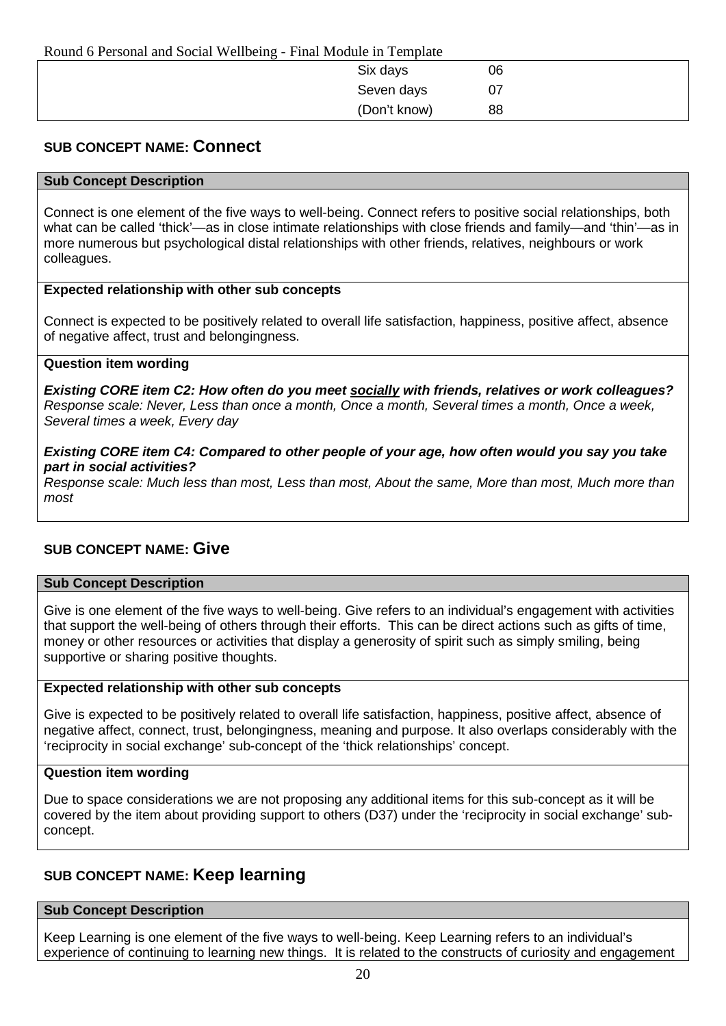| Round 6 Personal and Social Wellbeing - Final Module in Template |              |    |  |  |  |  |
|------------------------------------------------------------------|--------------|----|--|--|--|--|
|                                                                  | Six days     | 06 |  |  |  |  |
|                                                                  | Seven days   | 07 |  |  |  |  |
|                                                                  | (Don't know) | 88 |  |  |  |  |

# **SUB CONCEPT NAME: Connect**

# **Sub Concept Description**

Connect is one element of the five ways to well-being. Connect refers to positive social relationships, both what can be called 'thick'—as in close intimate relationships with close friends and family—and 'thin'—as in more numerous but psychological distal relationships with other friends, relatives, neighbours or work colleagues.

# **Expected relationship with other sub concepts**

Connect is expected to be positively related to overall life satisfaction, happiness, positive affect, absence of negative affect, trust and belongingness.

#### **Question item wording**

*Existing CORE item C2: How often do you meet socially with friends, relatives or work colleagues? Response scale: Never, Less than once a month, Once a month, Several times a month, Once a week, Several times a week, Every day*

# *Existing CORE item C4: Compared to other people of your age, how often would you say you take part in social activities?*

*Response scale: Much less than most, Less than most, About the same, More than most, Much more than most*

# **SUB CONCEPT NAME: Give**

#### **Sub Concept Description**

Give is one element of the five ways to well-being. Give refers to an individual's engagement with activities that support the well-being of others through their efforts. This can be direct actions such as gifts of time, money or other resources or activities that display a generosity of spirit such as simply smiling, being supportive or sharing positive thoughts.

#### **Expected relationship with other sub concepts**

Give is expected to be positively related to overall life satisfaction, happiness, positive affect, absence of negative affect, connect, trust, belongingness, meaning and purpose. It also overlaps considerably with the 'reciprocity in social exchange' sub-concept of the 'thick relationships' concept.

#### **Question item wording**

Due to space considerations we are not proposing any additional items for this sub-concept as it will be covered by the item about providing support to others (D37) under the 'reciprocity in social exchange' subconcept.

# **SUB CONCEPT NAME: Keep learning**

#### **Sub Concept Description**

Keep Learning is one element of the five ways to well-being. Keep Learning refers to an individual's experience of continuing to learning new things. It is related to the constructs of curiosity and engagement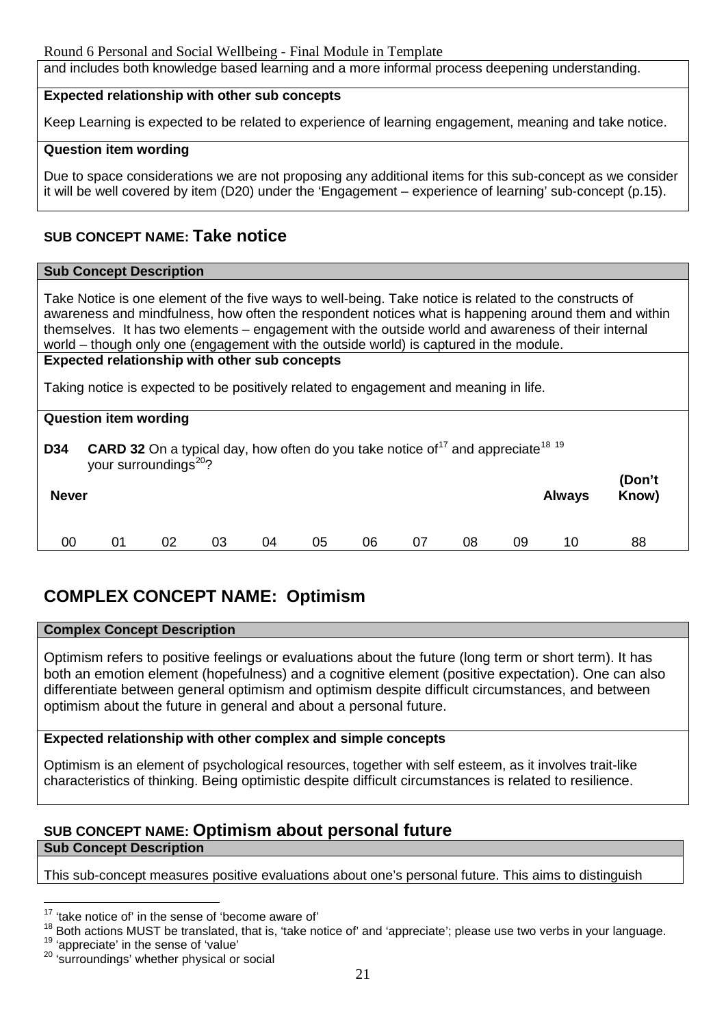and includes both knowledge based learning and a more informal process deepening understanding.

#### **Expected relationship with other sub concepts**

Keep Learning is expected to be related to experience of learning engagement, meaning and take notice.

# **Question item wording**

Due to space considerations we are not proposing any additional items for this sub-concept as we consider it will be well covered by item (D20) under the 'Engagement – experience of learning' sub-concept (p.15).

# **SUB CONCEPT NAME: Take notice**

#### **Sub Concept Description**

Take Notice is one element of the five ways to well-being. Take notice is related to the constructs of awareness and mindfulness, how often the respondent notices what is happening around them and within themselves. It has two elements – engagement with the outside world and awareness of their internal world – though only one (engagement with the outside world) is captured in the module.

#### **Expected relationship with other sub concepts**

Taking notice is expected to be positively related to engagement and meaning in life.

|                                                                                                                                                                              | <b>Question item wording</b> |    |    |    |    |    |    |    |    |               |                 |
|------------------------------------------------------------------------------------------------------------------------------------------------------------------------------|------------------------------|----|----|----|----|----|----|----|----|---------------|-----------------|
| <b>CARD 32</b> On a typical day, how often do you take notice of <sup>17</sup> and appreciate <sup>18</sup> <sup>19</sup><br><b>D34</b><br>your surroundings <sup>20</sup> ? |                              |    |    |    |    |    |    |    |    |               |                 |
| <b>Never</b>                                                                                                                                                                 |                              |    |    |    |    |    |    |    |    | <b>Always</b> | (Don't<br>Know) |
| 00                                                                                                                                                                           | 01                           | 02 | 03 | 04 | 05 | 06 | 07 | 08 | 09 | 10            | 88              |

# **COMPLEX CONCEPT NAME: Optimism**

# **Complex Concept Description**

Optimism refers to positive feelings or evaluations about the future (long term or short term). It has both an emotion element (hopefulness) and a cognitive element (positive expectation). One can also differentiate between general optimism and optimism despite difficult circumstances, and between optimism about the future in general and about a personal future.

# **Expected relationship with other complex and simple concepts**

Optimism is an element of psychological resources, together with self esteem, as it involves trait-like characteristics of thinking. Being optimistic despite difficult circumstances is related to resilience.

# **SUB CONCEPT NAME: Optimism about personal future**

# **Sub Concept Description**

 $\overline{a}$ 

This sub-concept measures positive evaluations about one's personal future. This aims to distinguish

<span id="page-20-0"></span> $17$  'take notice of' in the sense of 'become aware of'

<span id="page-20-2"></span><span id="page-20-1"></span><sup>&</sup>lt;sup>18</sup> Both actions MUST be translated, that is, 'take notice of' and 'appreciate'; please use two verbs in your language.<br><sup>19</sup> 'appreciate' in the sense of 'value'  $20$  'surroundings' whether physical or social

<span id="page-20-3"></span>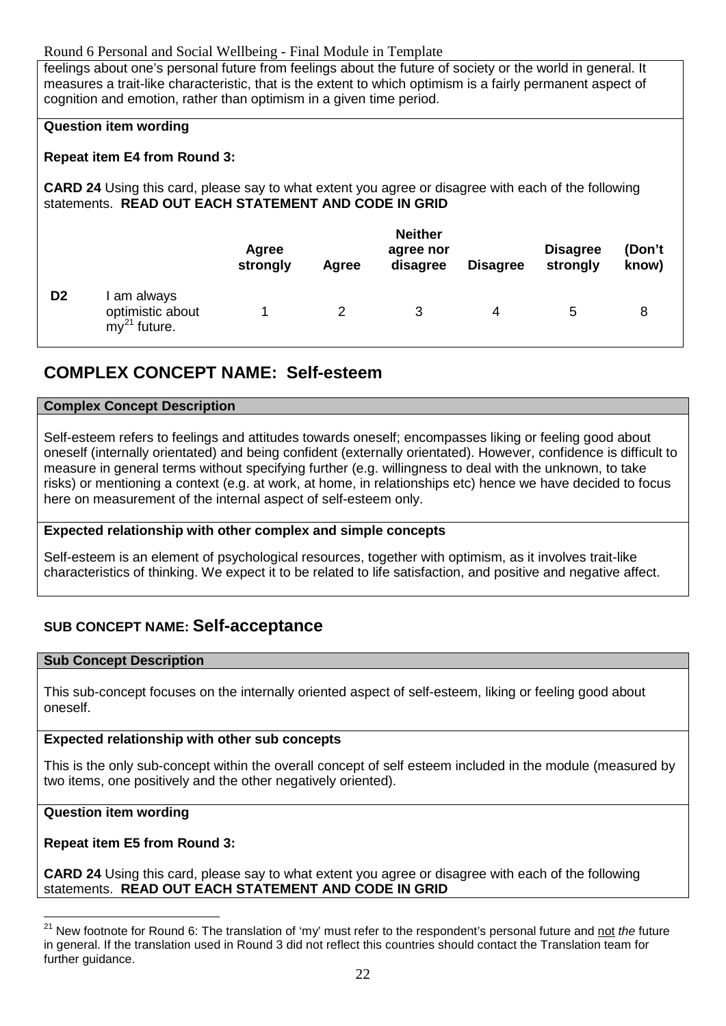# Round 6 Personal and Social Wellbeing - Final Module in Template

feelings about one's personal future from feelings about the future of society or the world in general. It measures a trait-like characteristic, that is the extent to which optimism is a fairly permanent aspect of cognition and emotion, rather than optimism in a given time period.

# **Question item wording**

# **Repeat item E4 from Round 3:**

**CARD 24** Using this card, please say to what extent you agree or disagree with each of the following statements. **READ OUT EACH STATEMENT AND CODE IN GRID**

|                |                                                    | Agree<br>strongly | Agree | <b>Neither</b><br>agree nor<br>disagree | <b>Disagree</b> | <b>Disagree</b><br>strongly | (Don't<br>know) |
|----------------|----------------------------------------------------|-------------------|-------|-----------------------------------------|-----------------|-----------------------------|-----------------|
| D <sub>2</sub> | am always<br>optimistic about<br>$my^{21}$ future. |                   |       |                                         | 4               | 5                           | 8               |

# **COMPLEX CONCEPT NAME: Self-esteem**

# **Complex Concept Description**

Self-esteem refers to feelings and attitudes towards oneself; encompasses liking or feeling good about oneself (internally orientated) and being confident (externally orientated). However, confidence is difficult to measure in general terms without specifying further (e.g. willingness to deal with the unknown, to take risks) or mentioning a context (e.g. at work, at home, in relationships etc) hence we have decided to focus here on measurement of the internal aspect of self-esteem only.

# **Expected relationship with other complex and simple concepts**

Self-esteem is an element of psychological resources, together with optimism, as it involves trait-like characteristics of thinking. We expect it to be related to life satisfaction, and positive and negative affect.

# **SUB CONCEPT NAME: Self-acceptance**

# **Sub Concept Description**

This sub-concept focuses on the internally oriented aspect of self-esteem, liking or feeling good about oneself.

# **Expected relationship with other sub concepts**

This is the only sub-concept within the overall concept of self esteem included in the module (measured by two items, one positively and the other negatively oriented).

# **Question item wording**

# **Repeat item E5 from Round 3:**

**CARD 24** Using this card, please say to what extent you agree or disagree with each of the following statements. **READ OUT EACH STATEMENT AND CODE IN GRID**

<span id="page-21-0"></span><sup>&</sup>lt;sup>21</sup> New footnote for Round 6: The translation of 'my' must refer to the respondent's personal future and <u>not</u> the future in general. If the translation used in Round 3 did not reflect this countries should contact the Translation team for further guidance.  $\overline{\phantom{a}}$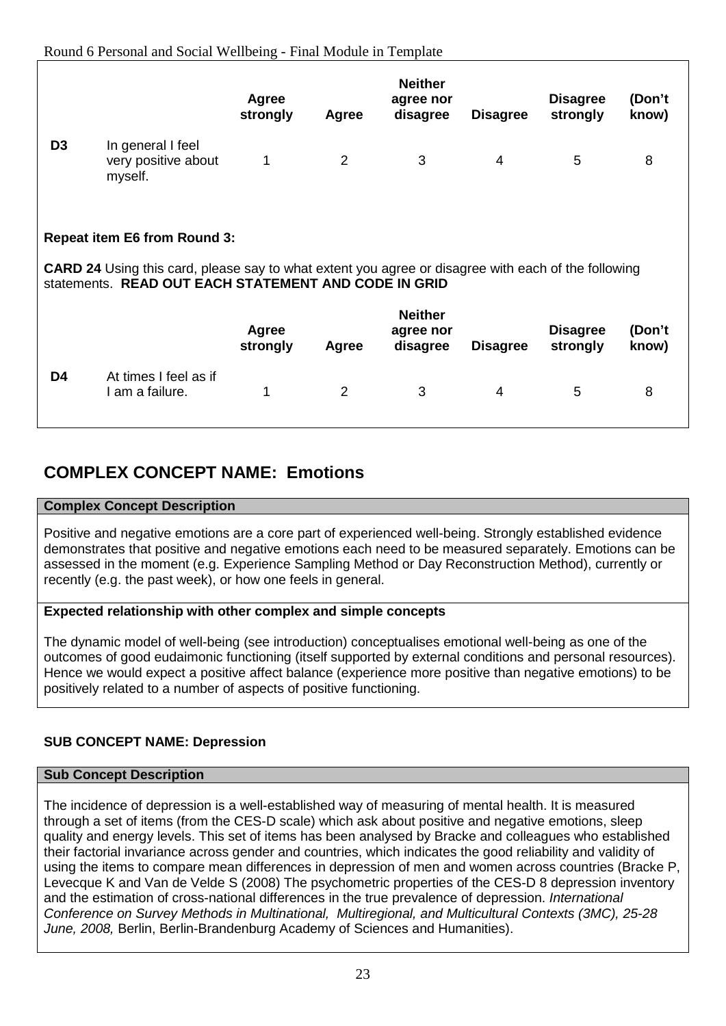|                |                                                                                                                                                                    | Agree<br>strongly | Agree | <b>Neither</b><br>agree nor<br>disagree | <b>Disagree</b> | <b>Disagree</b><br>strongly | (Don't<br>know) |  |
|----------------|--------------------------------------------------------------------------------------------------------------------------------------------------------------------|-------------------|-------|-----------------------------------------|-----------------|-----------------------------|-----------------|--|
| D <sub>3</sub> | In general I feel<br>very positive about<br>myself.                                                                                                                | 1                 | 2     | 3                                       | $\overline{4}$  | 5                           | 8               |  |
|                | <b>Repeat item E6 from Round 3:</b>                                                                                                                                |                   |       |                                         |                 |                             |                 |  |
|                | <b>CARD 24</b> Using this card, please say to what extent you agree or disagree with each of the following<br>statements. READ OUT EACH STATEMENT AND CODE IN GRID |                   |       |                                         |                 |                             |                 |  |
|                |                                                                                                                                                                    | Agree<br>strongly | Agree | <b>Neither</b><br>agree nor<br>disagree | <b>Disagree</b> | <b>Disagree</b><br>strongly | (Don't<br>know) |  |
| D4             | At times I feel as if<br>I am a failure.                                                                                                                           | 1                 | 2     | 3                                       | 4               | 5                           | 8               |  |

# **COMPLEX CONCEPT NAME: Emotions**

# **Complex Concept Description**

Positive and negative emotions are a core part of experienced well-being. Strongly established evidence demonstrates that positive and negative emotions each need to be measured separately. Emotions can be assessed in the moment (e.g. Experience Sampling Method or Day Reconstruction Method), currently or recently (e.g. the past week), or how one feels in general.

# **Expected relationship with other complex and simple concepts**

The dynamic model of well-being (see introduction) conceptualises emotional well-being as one of the outcomes of good eudaimonic functioning (itself supported by external conditions and personal resources). Hence we would expect a positive affect balance (experience more positive than negative emotions) to be positively related to a number of aspects of positive functioning.

# **SUB CONCEPT NAME: Depression**

# **Sub Concept Description**

The incidence of depression is a well-established way of measuring of mental health. It is measured through a set of items (from the CES-D scale) which ask about positive and negative emotions, sleep quality and energy levels. This set of items has been analysed by Bracke and colleagues who established their factorial invariance across gender and countries, which indicates the good reliability and validity of using the items to compare mean differences in depression of men and women across countries (Bracke P, Levecque K and Van de Velde S (2008) The psychometric properties of the CES-D 8 depression inventory and the estimation of cross-national differences in the true prevalence of depression. *International Conference on Survey Methods in Multinational, Multiregional, and Multicultural Contexts (3MC), 25-28 June, 2008,* Berlin, Berlin-Brandenburg Academy of Sciences and Humanities).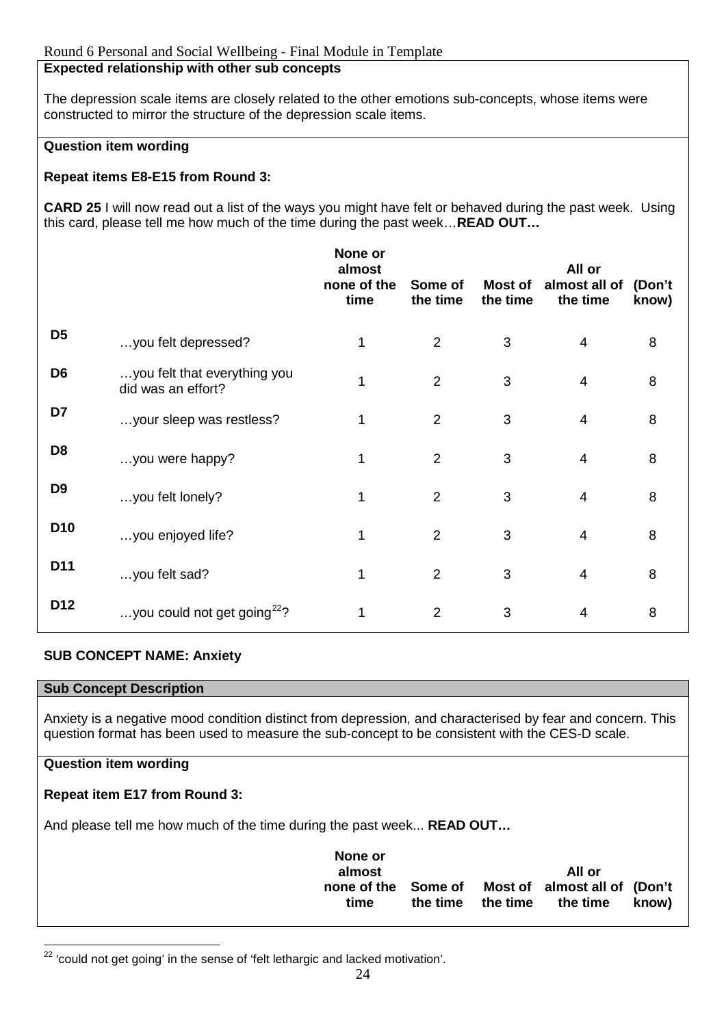# **Expected relationship with other sub concepts**

The depression scale items are closely related to the other emotions sub-concepts, whose items were constructed to mirror the structure of the depression scale items.

# **Question item wording**

# **Repeat items E8-E15 from Round 3:**

**CARD 25** I will now read out a list of the ways you might have felt or behaved during the past week. Using this card, please tell me how much of the time during the past week…**READ OUT…**

|                 |                                                    | None or<br>almost<br>none of the<br>time | Some of<br>the time | Most of<br>the time | All or<br>almost all of<br>the time | (Don't<br>know) |
|-----------------|----------------------------------------------------|------------------------------------------|---------------------|---------------------|-------------------------------------|-----------------|
| D <sub>5</sub>  | you felt depressed?                                | 1                                        | $\overline{2}$      | 3                   | $\overline{4}$                      | 8               |
| D <sub>6</sub>  | you felt that everything you<br>did was an effort? | 1                                        | $\overline{2}$      | 3                   | $\overline{4}$                      | 8               |
| D7              | your sleep was restless?                           | 1                                        | $\overline{2}$      | 3                   | $\overline{4}$                      | 8               |
| D <sub>8</sub>  | you were happy?                                    | 1                                        | $\overline{2}$      | 3                   | $\overline{4}$                      | 8               |
| D <sub>9</sub>  | you felt lonely?                                   | 1                                        | $\overline{2}$      | 3                   | $\overline{4}$                      | 8               |
| D <sub>10</sub> | you enjoyed life?                                  | 1                                        | $\overline{2}$      | 3                   | $\overline{4}$                      | 8               |
| D11             | you felt sad?                                      | 1                                        | $\overline{2}$      | 3                   | $\overline{4}$                      | 8               |
| D12             | you could not get going <sup>22</sup> ?            | 1                                        | $\overline{2}$      | 3                   | $\overline{4}$                      | 8               |

# **SUB CONCEPT NAME: Anxiety**

#### **Sub Concept Description**

Anxiety is a negative mood condition distinct from depression, and characterised by fear and concern. This question format has been used to measure the sub-concept to be consistent with the CES-D scale.

# **Question item wording**

# **Repeat item E17 from Round 3:**

And please tell me how much of the time during the past week... **READ OUT…**

| None or                     |                   |                                          |       |
|-----------------------------|-------------------|------------------------------------------|-------|
| almost                      |                   | All or                                   |       |
| none of the Some of<br>time | the time the time | Most of almost all of (Don't<br>the time | know) |
|                             |                   |                                          |       |

<span id="page-23-0"></span> $22$  'could not get going' in the sense of 'felt lethargic and lacked motivation'.  $\overline{a}$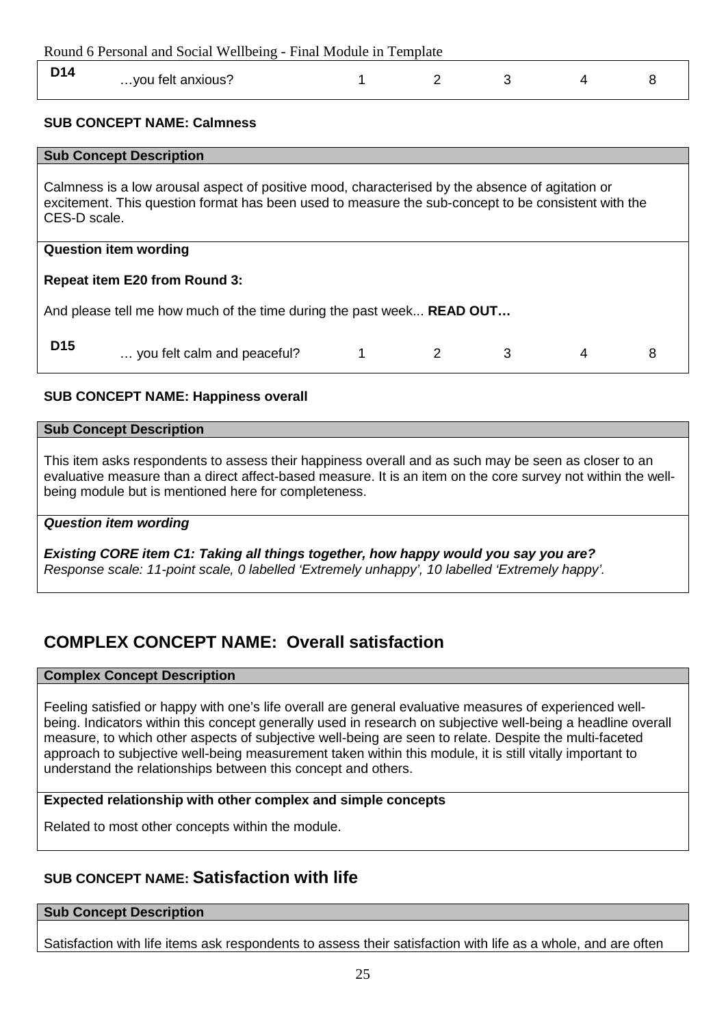| Round 6 Personal and Social Wellbeing - Final Module in Template |                                   |  |  |  |  |  |  |
|------------------------------------------------------------------|-----------------------------------|--|--|--|--|--|--|
| D <sub>14</sub>                                                  | you felt anxious?                 |  |  |  |  |  |  |
|                                                                  | <b>SUB CONCEPT NAME: Calmness</b> |  |  |  |  |  |  |

#### **Sub Concept Description**

Calmness is a low arousal aspect of positive mood, characterised by the absence of agitation or excitement. This question format has been used to measure the sub-concept to be consistent with the CES-D scale.

#### **Question item wording**

# **Repeat item E20 from Round 3:**

And please tell me how much of the time during the past week... **READ OUT…**

| D15 | you felt calm and peaceful? |  |  |  |  |  |
|-----|-----------------------------|--|--|--|--|--|
|-----|-----------------------------|--|--|--|--|--|

# **SUB CONCEPT NAME: Happiness overall**

#### **Sub Concept Description**

This item asks respondents to assess their happiness overall and as such may be seen as closer to an evaluative measure than a direct affect-based measure. It is an item on the core survey not within the wellbeing module but is mentioned here for completeness.

# *Question item wording*

*Existing CORE item C1: Taking all things together, how happy would you say you are? Response scale: 11-point scale, 0 labelled 'Extremely unhappy', 10 labelled 'Extremely happy'.*

# **COMPLEX CONCEPT NAME: Overall satisfaction**

#### **Complex Concept Description**

Feeling satisfied or happy with one's life overall are general evaluative measures of experienced wellbeing. Indicators within this concept generally used in research on subjective well-being a headline overall measure, to which other aspects of subjective well-being are seen to relate. Despite the multi-faceted approach to subjective well-being measurement taken within this module, it is still vitally important to understand the relationships between this concept and others.

# **Expected relationship with other complex and simple concepts**

Related to most other concepts within the module.

# **SUB CONCEPT NAME: Satisfaction with life**

#### **Sub Concept Description**

Satisfaction with life items ask respondents to assess their satisfaction with life as a whole, and are often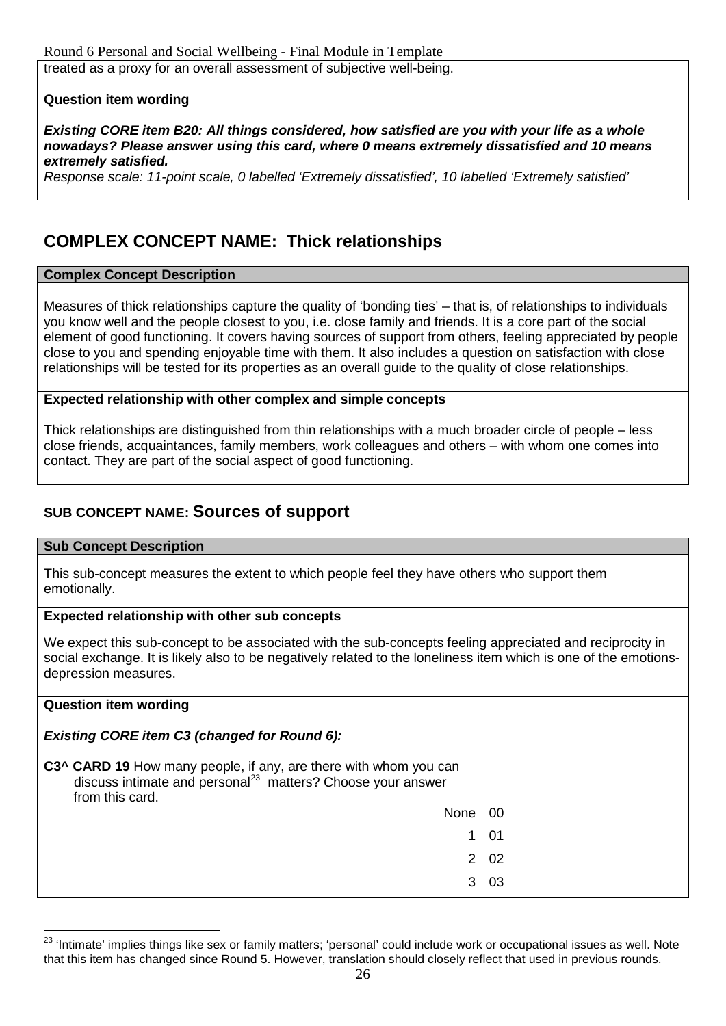# **Question item wording**

*Existing CORE item B20: All things considered, how satisfied are you with your life as a whole nowadays? Please answer using this card, where 0 means extremely dissatisfied and 10 means extremely satisfied.*

*Response scale: 11-point scale, 0 labelled 'Extremely dissatisfied', 10 labelled 'Extremely satisfied'*

# **COMPLEX CONCEPT NAME: Thick relationships**

# **Complex Concept Description**

Measures of thick relationships capture the quality of 'bonding ties' – that is, of relationships to individuals you know well and the people closest to you, i.e. close family and friends. It is a core part of the social element of good functioning. It covers having sources of support from others, feeling appreciated by people close to you and spending enjoyable time with them. It also includes a question on satisfaction with close relationships will be tested for its properties as an overall guide to the quality of close relationships.

# **Expected relationship with other complex and simple concepts**

Thick relationships are distinguished from thin relationships with a much broader circle of people – less close friends, acquaintances, family members, work colleagues and others – with whom one comes into contact. They are part of the social aspect of good functioning.

# **SUB CONCEPT NAME: Sources of support**

#### **Sub Concept Description**

This sub-concept measures the extent to which people feel they have others who support them emotionally.

# **Expected relationship with other sub concepts**

We expect this sub-concept to be associated with the sub-concepts feeling appreciated and reciprocity in social exchange. It is likely also to be negatively related to the loneliness item which is one of the emotionsdepression measures.

# **Question item wording**

# *Existing CORE item C3 (changed for Round 6):*

| C3^ CARD 19 How many people, if any, are there with whom you can        |
|-------------------------------------------------------------------------|
| discuss intimate and personal <sup>23</sup> matters? Choose your answer |
| from this card.                                                         |

| None 00   |      |
|-----------|------|
| $1 \quad$ | 01   |
|           | 2 02 |
|           | 3 03 |

<span id="page-25-0"></span><sup>&</sup>lt;sup>23</sup> 'Intimate' implies things like sex or family matters; 'personal' could include work or occupational issues as well. Note that this item has changed since Round 5. However, translation should closely reflect that used in previous rounds.  $\overline{a}$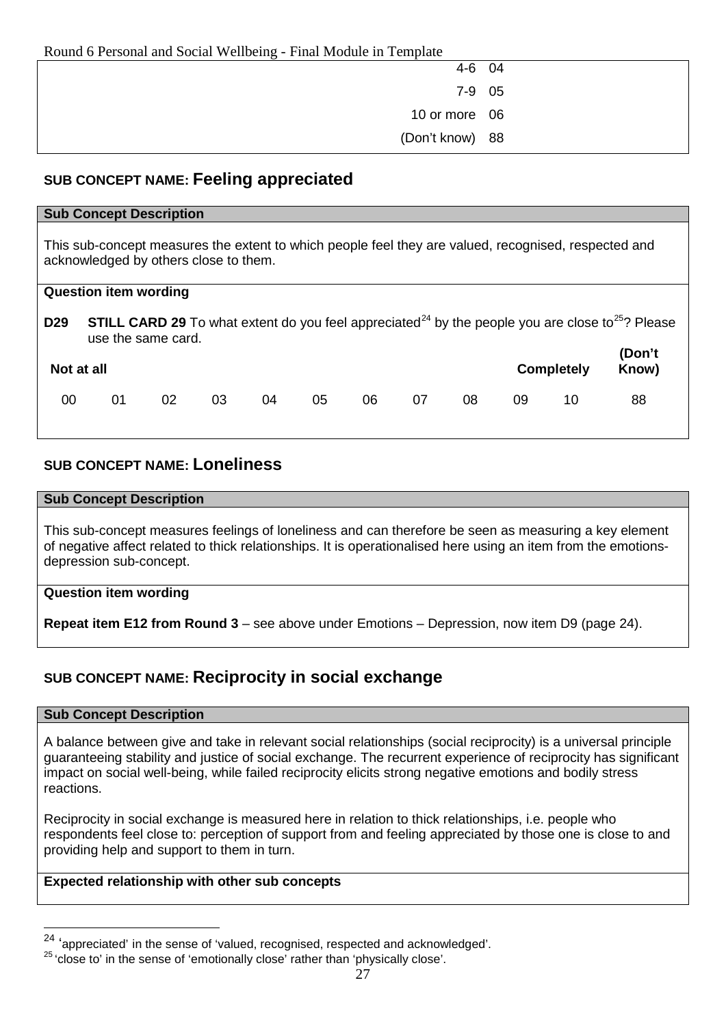| ີ |                 |  |
|---|-----------------|--|
|   | 4-6 04          |  |
|   | 7-9 05          |  |
|   | 10 or more 06   |  |
|   | (Don't know) 88 |  |

# **SUB CONCEPT NAME: Feeling appreciated**

#### **Sub Concept Description**

This sub-concept measures the extent to which people feel they are valued, recognised, respected and acknowledged by others close to them.

|                 | <b>Question item wording</b> |    |    |    |    |    |    |    |    |                   |                                                                                                                                 |
|-----------------|------------------------------|----|----|----|----|----|----|----|----|-------------------|---------------------------------------------------------------------------------------------------------------------------------|
| D <sub>29</sub> | use the same card.           |    |    |    |    |    |    |    |    |                   | <b>STILL CARD 29</b> To what extent do you feel appreciated <sup>24</sup> by the people you are close to <sup>25</sup> ? Please |
| Not at all      |                              |    |    |    |    |    |    |    |    | <b>Completely</b> | (Don't<br>Know)                                                                                                                 |
| 00              | 01                           | 02 | 03 | 04 | 05 | 06 | 07 | 08 | 09 | 10                | 88                                                                                                                              |

# **SUB CONCEPT NAME: Loneliness**

#### **Sub Concept Description**

This sub-concept measures feelings of loneliness and can therefore be seen as measuring a key element of negative affect related to thick relationships. It is operationalised here using an item from the emotionsdepression sub-concept.

# **Question item wording**

**Repeat item E12 from Round 3** – see above under Emotions – Depression, now item D9 (page 24).

# **SUB CONCEPT NAME: Reciprocity in social exchange**

# **Sub Concept Description**

A balance between give and take in relevant social relationships (social reciprocity) is a universal principle guaranteeing stability and justice of social exchange. The recurrent experience of reciprocity has significant impact on social well-being, while failed reciprocity elicits strong negative emotions and bodily stress reactions.

Reciprocity in social exchange is measured here in relation to thick relationships, i.e. people who respondents feel close to: perception of support from and feeling appreciated by those one is close to and providing help and support to them in turn.

# **Expected relationship with other sub concepts**

<sup>24</sup> 'appreciated' in the sense of 'valued, recognised, respected and acknowledged'. -

<span id="page-26-1"></span><span id="page-26-0"></span><sup>25</sup> 'close to' in the sense of 'emotionally close' rather than 'physically close'.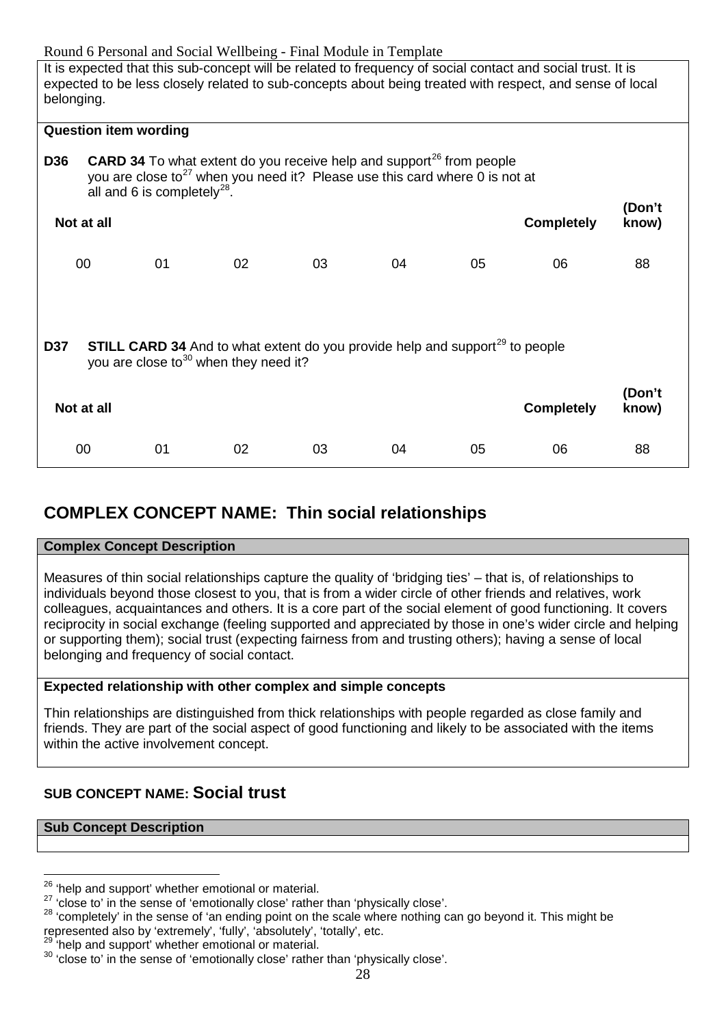Round 6 Personal and Social Wellbeing - Final Module in Template It is expected that this sub-concept will be related to frequency of social contact and social trust. It is expected to be less closely related to sub-concepts about being treated with respect, and sense of local belonging. **Question item wording D36 CARD 34** To what extent do you receive help and support<sup>[26](#page-27-0)</sup> from people you are close to<sup>[27](#page-27-1)</sup> when you need it? Please use this card where  $0$  is not at all and 6 is completely $^{28}$  $^{28}$  $^{28}$ . **Not at all Completely (Don't know)** 00 01 02 03 04 05 06 88 **D37 STILL CARD 34** And to what extent do you provide help and support<sup>[29](#page-27-3)</sup> to people you are close to $30$  when they need it? **Not at all Completely (Don't know)** 00 01 02 03 04 05 06 88

# **COMPLEX CONCEPT NAME: Thin social relationships**

# **Complex Concept Description**

Measures of thin social relationships capture the quality of 'bridging ties' – that is, of relationships to individuals beyond those closest to you, that is from a wider circle of other friends and relatives, work colleagues, acquaintances and others. It is a core part of the social element of good functioning. It covers reciprocity in social exchange (feeling supported and appreciated by those in one's wider circle and helping or supporting them); social trust (expecting fairness from and trusting others); having a sense of local belonging and frequency of social contact.

# **Expected relationship with other complex and simple concepts**

Thin relationships are distinguished from thick relationships with people regarded as close family and friends. They are part of the social aspect of good functioning and likely to be associated with the items within the active involvement concept.

# **SUB CONCEPT NAME: Social trust**

#### **Sub Concept Description**

<span id="page-27-2"></span>represented also by 'extremely', 'fully', 'absolutely', 'totally', etc.<br><sup>29</sup> 'help and support' whether emotional or material.

<span id="page-27-0"></span><sup>&</sup>lt;sup>26</sup> 'help and support' whether emotional or material.

<span id="page-27-1"></span><sup>&</sup>lt;sup>27</sup> 'close to' in the sense of 'emotionally close' rather than 'physically close'.<br><sup>28</sup> 'completely' in the sense of 'an ending point on the scale where nothing can go beyond it. This might be

<span id="page-27-4"></span><span id="page-27-3"></span><sup>29</sup> 'help and support' whether emotional or material. <sup>30</sup> 'close to' in the sense of 'emotionally close' rather than 'physically close'.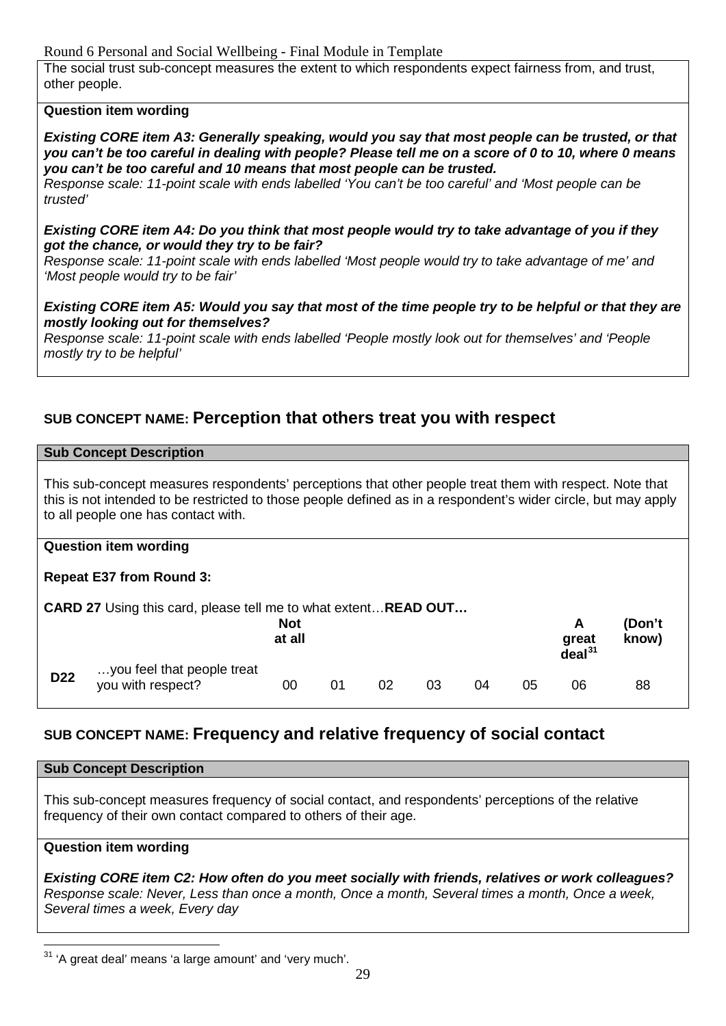Round 6 Personal and Social Wellbeing - Final Module in Template

The social trust sub-concept measures the extent to which respondents expect fairness from, and trust, other people.

# **Question item wording**

*Existing CORE item A3: Generally speaking, would you say that most people can be trusted, or that you can't be too careful in dealing with people? Please tell me on a score of 0 to 10, where 0 means you can't be too careful and 10 means that most people can be trusted.*

*Response scale: 11-point scale with ends labelled 'You can't be too careful' and 'Most people can be trusted'*

#### *Existing CORE item A4: Do you think that most people would try to take advantage of you if they got the chance, or would they try to be fair?*

*Response scale: 11-point scale with ends labelled 'Most people would try to take advantage of me' and 'Most people would try to be fair'*

*Existing CORE item A5: Would you say that most of the time people try to be helpful or that they are mostly looking out for themselves?* 

*Response scale: 11-point scale with ends labelled 'People mostly look out for themselves' and 'People mostly try to be helpful'*

# **SUB CONCEPT NAME: Perception that others treat you with respect**

#### **Sub Concept Description**

This sub-concept measures respondents' perceptions that other people treat them with respect. Note that this is not intended to be restricted to those people defined as in a respondent's wider circle, but may apply to all people one has contact with.

# **Question item wording**

# **Repeat E37 from Round 3:**

|                 | <b>CARD 27</b> Using this card, please tell me to what extent <b>READ OUT</b> |                      |    |    |    |    |    |                                  |                 |  |  |
|-----------------|-------------------------------------------------------------------------------|----------------------|----|----|----|----|----|----------------------------------|-----------------|--|--|
|                 |                                                                               | <b>Not</b><br>at all |    |    |    |    |    | A<br>great<br>deal <sup>31</sup> | (Don't<br>know) |  |  |
| D <sub>22</sub> | you feel that people treat<br>you with respect?                               | 00                   | 01 | 02 | 03 | 04 | 05 | 06                               | 88              |  |  |

# **SUB CONCEPT NAME: Frequency and relative frequency of social contact**

# **Sub Concept Description**

This sub-concept measures frequency of social contact, and respondents' perceptions of the relative frequency of their own contact compared to others of their age.

# **Question item wording**

*Existing CORE item C2: How often do you meet socially with friends, relatives or work colleagues? Response scale: Never, Less than once a month, Once a month, Several times a month, Once a week, Several times a week, Every day*

<span id="page-28-0"></span><sup>&</sup>lt;sup>31</sup> 'A great deal' means 'a large amount' and 'very much'.  $\overline{a}$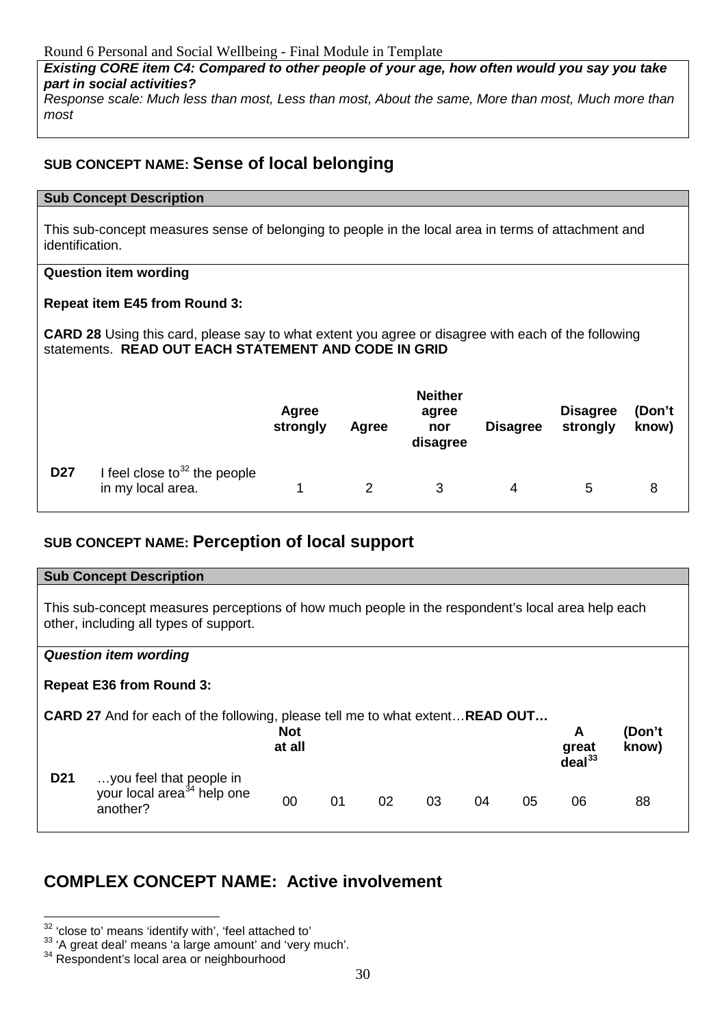*Existing CORE item C4: Compared to other people of your age, how often would you say you take part in social activities?*

*Response scale: Much less than most, Less than most, About the same, More than most, Much more than most*

# **SUB CONCEPT NAME: Sense of local belonging**

# **Sub Concept Description**

This sub-concept measures sense of belonging to people in the local area in terms of attachment and identification.

# **Question item wording**

# **Repeat item E45 from Round 3:**

**CARD 28** Using this card, please say to what extent you agree or disagree with each of the following statements. **READ OUT EACH STATEMENT AND CODE IN GRID**

|                 |                                                      | Agree<br>strongly | Agree | <b>Neither</b><br>agree<br>nor<br>disagree | <b>Disagree</b> | <b>Disagree</b><br>strongly | (Don't<br>know) |
|-----------------|------------------------------------------------------|-------------------|-------|--------------------------------------------|-----------------|-----------------------------|-----------------|
| D <sub>27</sub> | I feel close to $32$ the people<br>in my local area. |                   |       | 3                                          | 4               | 5                           | 8               |

# **SUB CONCEPT NAME: Perception of local support**

|                 | <b>Sub Concept Description</b>                                                                                                              |                      |    |    |    |    |    |                                  |                 |
|-----------------|---------------------------------------------------------------------------------------------------------------------------------------------|----------------------|----|----|----|----|----|----------------------------------|-----------------|
|                 | This sub-concept measures perceptions of how much people in the respondent's local area help each<br>other, including all types of support. |                      |    |    |    |    |    |                                  |                 |
|                 | <b>Question item wording</b>                                                                                                                |                      |    |    |    |    |    |                                  |                 |
|                 | <b>Repeat E36 from Round 3:</b>                                                                                                             |                      |    |    |    |    |    |                                  |                 |
|                 | <b>CARD 27</b> And for each of the following, please tell me to what extent <b>READ OUT</b>                                                 | <b>Not</b><br>at all |    |    |    |    |    | A<br>great<br>deal <sup>33</sup> | (Don't<br>know) |
| D <sub>21</sub> | you feel that people in<br>your local area <sup>34</sup> help one<br>another?                                                               | 00                   | 01 | 02 | 03 | 04 | 05 | 06                               | 88              |

# **COMPLEX CONCEPT NAME: Active involvement**

<span id="page-29-0"></span><sup>&</sup>lt;sup>32</sup> 'close to' means 'identify with', 'feel attached to'

<span id="page-29-1"></span><sup>33 &#</sup>x27;A great deal' means 'a large amount' and 'very much'.<br><sup>34</sup> Respondent's local area or neighbourhood

<span id="page-29-2"></span>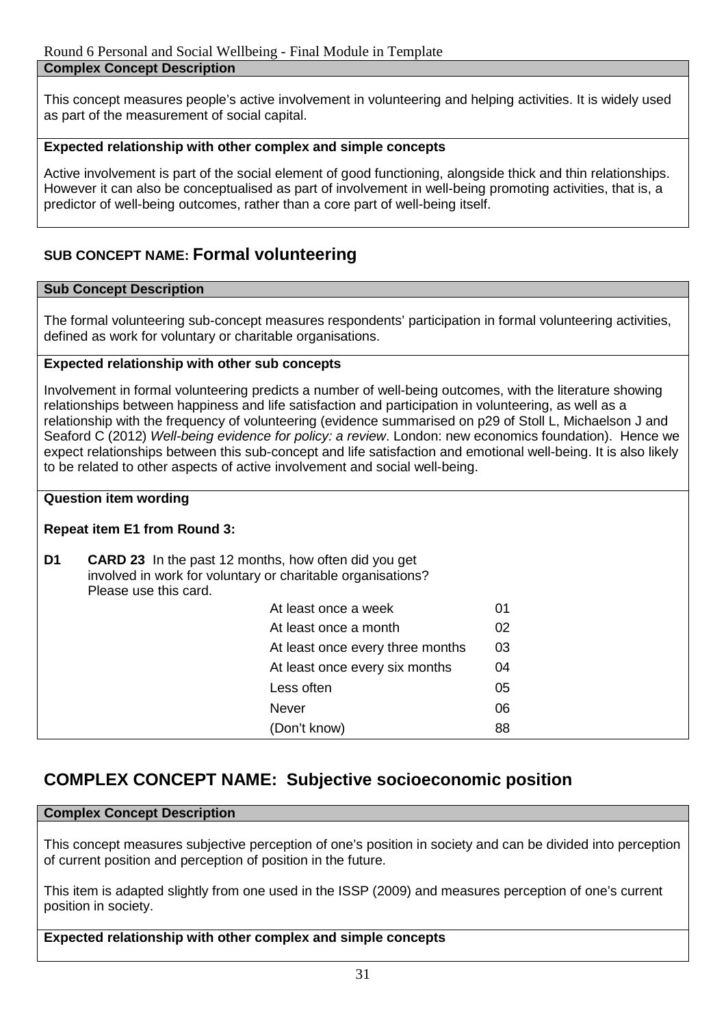This concept measures people's active involvement in volunteering and helping activities. It is widely used as part of the measurement of social capital.

# **Expected relationship with other complex and simple concepts**

Active involvement is part of the social element of good functioning, alongside thick and thin relationships. However it can also be conceptualised as part of involvement in well-being promoting activities, that is, a predictor of well-being outcomes, rather than a core part of well-being itself.

# **SUB CONCEPT NAME: Formal volunteering**

# **Sub Concept Description**

The formal volunteering sub-concept measures respondents' participation in formal volunteering activities, defined as work for voluntary or charitable organisations.

# **Expected relationship with other sub concepts**

Involvement in formal volunteering predicts a number of well-being outcomes, with the literature showing relationships between happiness and life satisfaction and participation in volunteering, as well as a relationship with the frequency of volunteering (evidence summarised on p29 of Stoll L, Michaelson J and Seaford C (2012) *Well-being evidence for policy: a review*. London: new economics foundation). Hence we expect relationships between this sub-concept and life satisfaction and emotional well-being. It is also likely to be related to other aspects of active involvement and social well-being.

# **Question item wording**

# **Repeat item E1 from Round 3:**

| At least once a week<br>01<br>At least once a month<br>02<br>At least once every three months<br>03<br>At least once every six months<br>04<br>Less often<br>05<br><b>Never</b><br>06<br>(Don't know)<br>88 | D1 | <b>CARD 23</b> In the past 12 months, how often did you get<br>Please use this card. | involved in work for voluntary or charitable organisations? |  |
|-------------------------------------------------------------------------------------------------------------------------------------------------------------------------------------------------------------|----|--------------------------------------------------------------------------------------|-------------------------------------------------------------|--|
|                                                                                                                                                                                                             |    |                                                                                      |                                                             |  |
|                                                                                                                                                                                                             |    |                                                                                      |                                                             |  |
|                                                                                                                                                                                                             |    |                                                                                      |                                                             |  |
|                                                                                                                                                                                                             |    |                                                                                      |                                                             |  |
|                                                                                                                                                                                                             |    |                                                                                      |                                                             |  |
|                                                                                                                                                                                                             |    |                                                                                      |                                                             |  |
|                                                                                                                                                                                                             |    |                                                                                      |                                                             |  |

# **COMPLEX CONCEPT NAME: Subjective socioeconomic position**

# **Complex Concept Description**

This concept measures subjective perception of one's position in society and can be divided into perception of current position and perception of position in the future.

This item is adapted slightly from one used in the ISSP (2009) and measures perception of one's current position in society.

# **Expected relationship with other complex and simple concepts**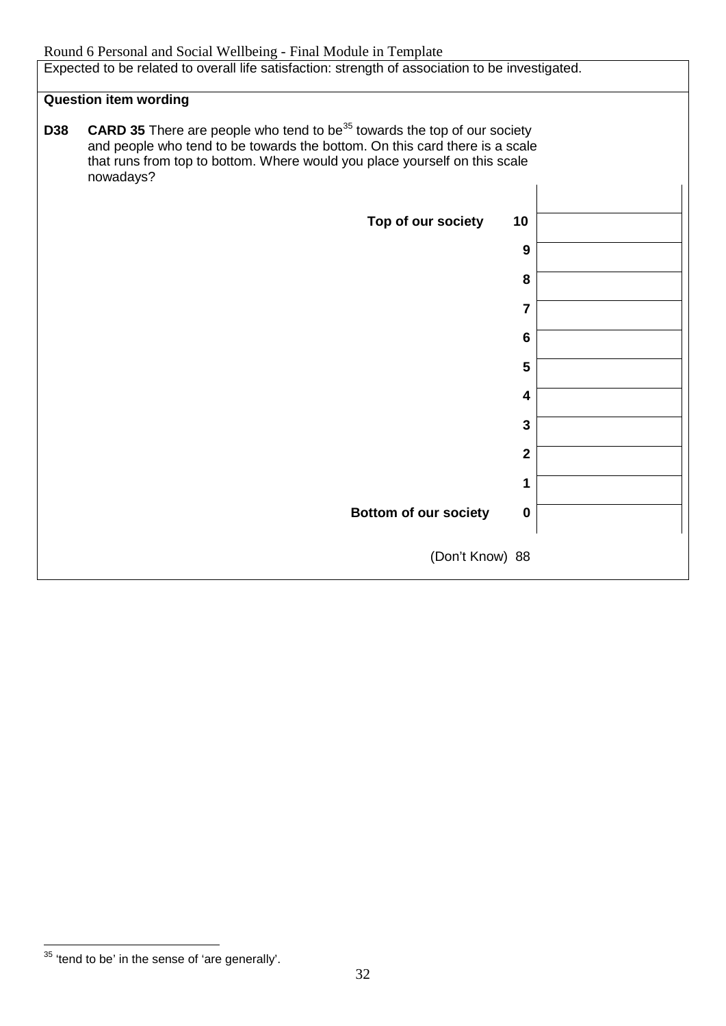Expected to be related to overall life satisfaction: strength of association to be investigated.

# **Question item wording**

| <b>D38</b> | <b>CARD 35</b> There are people who tend to be <sup>35</sup> towards the top of our society<br>and people who tend to be towards the bottom. On this card there is a scale<br>that runs from top to bottom. Where would you place yourself on this scale<br>nowadays? |                 |  |
|------------|-----------------------------------------------------------------------------------------------------------------------------------------------------------------------------------------------------------------------------------------------------------------------|-----------------|--|
|            | Top of our society                                                                                                                                                                                                                                                    | 10              |  |
|            |                                                                                                                                                                                                                                                                       | 9               |  |
|            |                                                                                                                                                                                                                                                                       | 8               |  |
|            |                                                                                                                                                                                                                                                                       | $\overline{7}$  |  |
|            |                                                                                                                                                                                                                                                                       | $6\phantom{1}6$ |  |
|            |                                                                                                                                                                                                                                                                       | 5               |  |
|            |                                                                                                                                                                                                                                                                       | 4               |  |
|            |                                                                                                                                                                                                                                                                       | $\mathbf{3}$    |  |
|            |                                                                                                                                                                                                                                                                       | $\mathbf{2}$    |  |
|            |                                                                                                                                                                                                                                                                       | 1               |  |
|            | <b>Bottom of our society</b>                                                                                                                                                                                                                                          | $\bf{0}$        |  |
|            | (Don't Know) 88                                                                                                                                                                                                                                                       |                 |  |

<span id="page-31-0"></span> $35$  'tend to be' in the sense of 'are generally'.  $\overline{a}$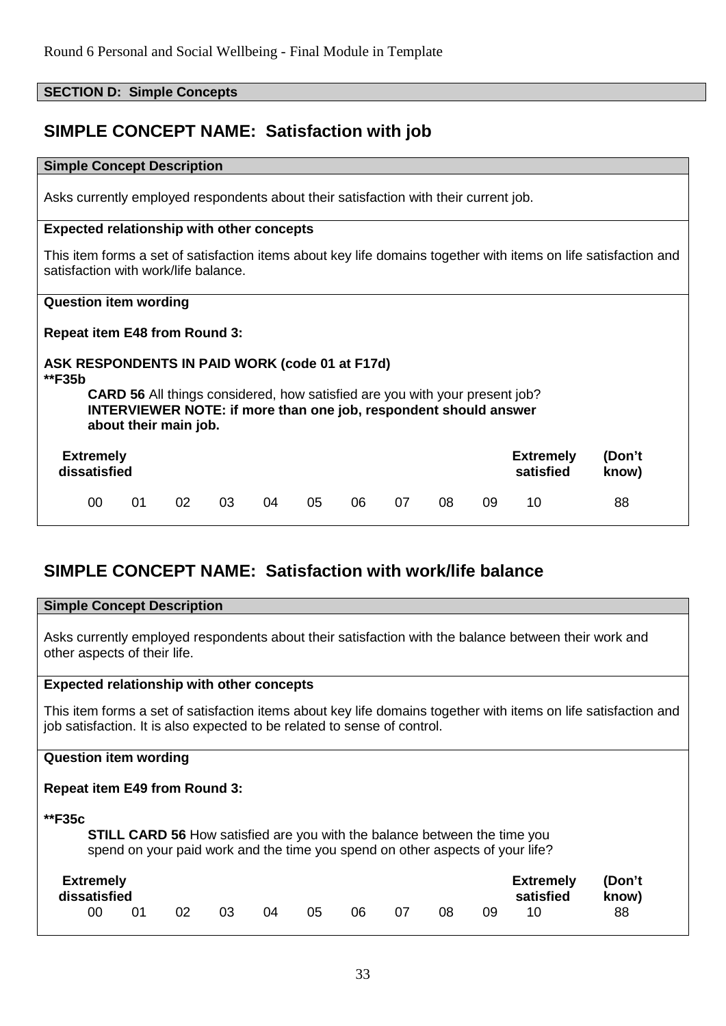**SECTION D: Simple Concepts** 

| <b>SIMPLE CONCEPT NAME: Satisfaction with job</b>                                    |                                                                                                                                                                                        |    |    |    |    |    |    |    |    |                               |                                                                                                                 |
|--------------------------------------------------------------------------------------|----------------------------------------------------------------------------------------------------------------------------------------------------------------------------------------|----|----|----|----|----|----|----|----|-------------------------------|-----------------------------------------------------------------------------------------------------------------|
| <b>Simple Concept Description</b>                                                    |                                                                                                                                                                                        |    |    |    |    |    |    |    |    |                               |                                                                                                                 |
| Asks currently employed respondents about their satisfaction with their current job. |                                                                                                                                                                                        |    |    |    |    |    |    |    |    |                               |                                                                                                                 |
| <b>Expected relationship with other concepts</b>                                     |                                                                                                                                                                                        |    |    |    |    |    |    |    |    |                               |                                                                                                                 |
| satisfaction with work/life balance.                                                 |                                                                                                                                                                                        |    |    |    |    |    |    |    |    |                               | This item forms a set of satisfaction items about key life domains together with items on life satisfaction and |
| <b>Question item wording</b>                                                         |                                                                                                                                                                                        |    |    |    |    |    |    |    |    |                               |                                                                                                                 |
| <b>Repeat item E48 from Round 3:</b>                                                 |                                                                                                                                                                                        |    |    |    |    |    |    |    |    |                               |                                                                                                                 |
| ASK RESPONDENTS IN PAID WORK (code 01 at F17d)<br>**F35b                             |                                                                                                                                                                                        |    |    |    |    |    |    |    |    |                               |                                                                                                                 |
|                                                                                      | <b>CARD 56</b> All things considered, how satisfied are you with your present job?<br><b>INTERVIEWER NOTE: if more than one job, respondent should answer</b><br>about their main job. |    |    |    |    |    |    |    |    |                               |                                                                                                                 |
| <b>Extremely</b><br>dissatisfied                                                     |                                                                                                                                                                                        |    |    |    |    |    |    |    |    | <b>Extremely</b><br>satisfied | (Don't<br>know)                                                                                                 |
| 00                                                                                   | 01                                                                                                                                                                                     | 02 | 03 | 04 | 05 | 06 | 07 | 08 | 09 | 10                            | 88                                                                                                              |

# **SIMPLE CONCEPT NAME: Satisfaction with work/life balance**

| <b>Simple Concept Description</b>                                                                                                                                                           |  |  |  |  |  |  |  |  |  |
|---------------------------------------------------------------------------------------------------------------------------------------------------------------------------------------------|--|--|--|--|--|--|--|--|--|
| Asks currently employed respondents about their satisfaction with the balance between their work and<br>other aspects of their life.                                                        |  |  |  |  |  |  |  |  |  |
| <b>Expected relationship with other concepts</b>                                                                                                                                            |  |  |  |  |  |  |  |  |  |
| This item forms a set of satisfaction items about key life domains together with items on life satisfaction and<br>job satisfaction. It is also expected to be related to sense of control. |  |  |  |  |  |  |  |  |  |
| <b>Question item wording</b>                                                                                                                                                                |  |  |  |  |  |  |  |  |  |
| <b>Repeat item E49 from Round 3:</b>                                                                                                                                                        |  |  |  |  |  |  |  |  |  |
| **F35c<br><b>STILL CARD 56</b> How satisfied are you with the balance between the time you<br>spend on your paid work and the time you spend on other aspects of your life?                 |  |  |  |  |  |  |  |  |  |
| <b>Extremely</b><br>(Don't<br><b>Extremely</b><br>dissatisfied<br>satisfied<br>know)<br>07<br>00<br>02<br>03<br>04<br>05<br>06<br>08<br>10<br>88<br>01<br>09                                |  |  |  |  |  |  |  |  |  |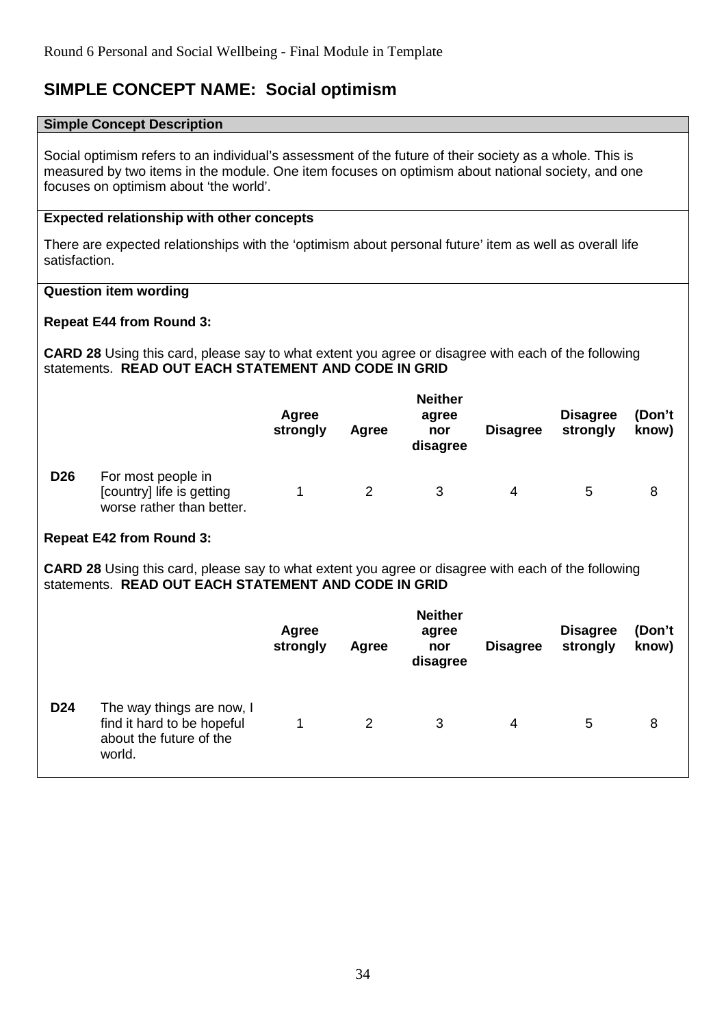# **SIMPLE CONCEPT NAME: Social optimism**

#### **Simple Concept Description**

Social optimism refers to an individual's assessment of the future of their society as a whole. This is measured by two items in the module. One item focuses on optimism about national society, and one focuses on optimism about 'the world'.

# **Expected relationship with other concepts**

There are expected relationships with the 'optimism about personal future' item as well as overall life satisfaction.

# **Question item wording**

# **Repeat E44 from Round 3:**

**CARD 28** Using this card, please say to what extent you agree or disagree with each of the following statements. **READ OUT EACH STATEMENT AND CODE IN GRID**

|                 |                                                                              | Agree<br>strongly | Agree | <b>Neither</b><br>agree<br>nor<br>disagree | <b>Disagree</b> | <b>Disagree</b><br>strongly | (Don't<br>know) |
|-----------------|------------------------------------------------------------------------------|-------------------|-------|--------------------------------------------|-----------------|-----------------------------|-----------------|
| D <sub>26</sub> | For most people in<br>[country] life is getting<br>worse rather than better. |                   |       |                                            | 4               | 5                           | 8               |

# **Repeat E42 from Round 3:**

**CARD 28** Using this card, please say to what extent you agree or disagree with each of the following statements. **READ OUT EACH STATEMENT AND CODE IN GRID**

|                 |                                                                                              | <b>Agree</b><br>strongly | <b>Agree</b> | <b>Neither</b><br>agree<br>nor<br>disagree | <b>Disagree</b> | <b>Disagree</b><br>strongly | (Don't<br>know) |
|-----------------|----------------------------------------------------------------------------------------------|--------------------------|--------------|--------------------------------------------|-----------------|-----------------------------|-----------------|
| D <sub>24</sub> | The way things are now, I<br>find it hard to be hopeful<br>about the future of the<br>world. |                          | 2            | 3                                          | 4               | 5                           | 8               |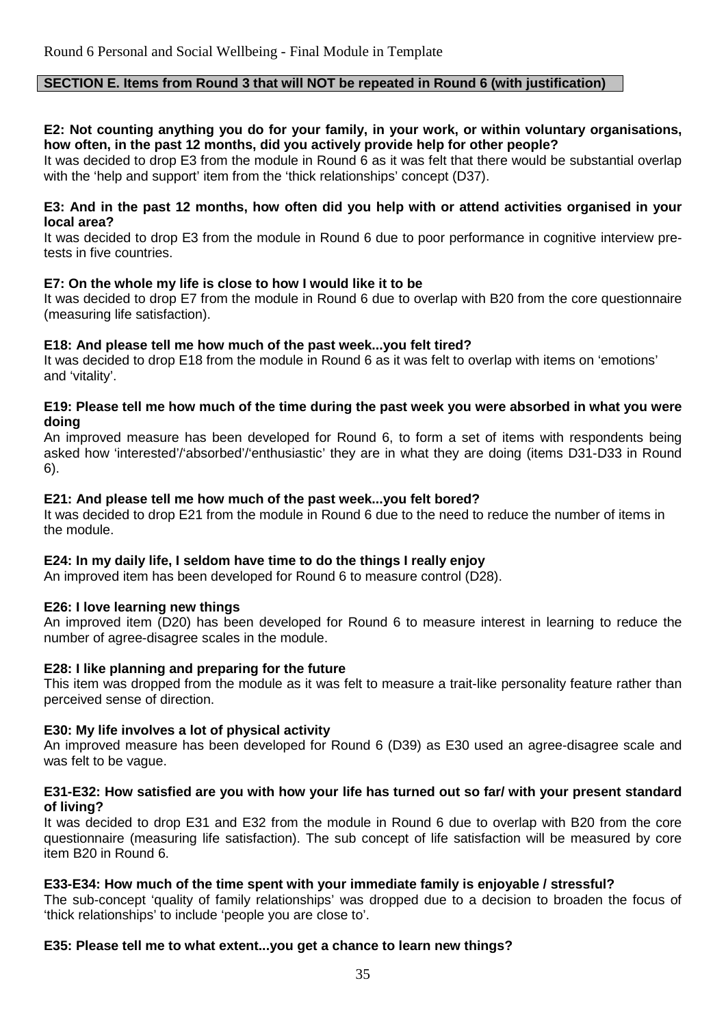# **SECTION E. Items from Round 3 that will NOT be repeated in Round 6 (with justification)**

# **E2: Not counting anything you do for your family, in your work, or within voluntary organisations, how often, in the past 12 months, did you actively provide help for other people?**

It was decided to drop E3 from the module in Round 6 as it was felt that there would be substantial overlap with the 'help and support' item from the 'thick relationships' concept (D37).

#### **E3: And in the past 12 months, how often did you help with or attend activities organised in your local area?**

It was decided to drop E3 from the module in Round 6 due to poor performance in cognitive interview pretests in five countries.

# **E7: On the whole my life is close to how I would like it to be**

It was decided to drop E7 from the module in Round 6 due to overlap with B20 from the core questionnaire (measuring life satisfaction).

# **E18: And please tell me how much of the past week...you felt tired?**

It was decided to drop E18 from the module in Round 6 as it was felt to overlap with items on 'emotions' and 'vitality'.

# **E19: Please tell me how much of the time during the past week you were absorbed in what you were doing**

An improved measure has been developed for Round 6, to form a set of items with respondents being asked how 'interested'/'absorbed'/'enthusiastic' they are in what they are doing (items D31-D33 in Round 6).

# **E21: And please tell me how much of the past week...you felt bored?**

It was decided to drop E21 from the module in Round 6 due to the need to reduce the number of items in the module.

# **E24: In my daily life, I seldom have time to do the things I really enjoy**

An improved item has been developed for Round 6 to measure control (D28).

# **E26: I love learning new things**

An improved item (D20) has been developed for Round 6 to measure interest in learning to reduce the number of agree-disagree scales in the module.

# **E28: I like planning and preparing for the future**

This item was dropped from the module as it was felt to measure a trait-like personality feature rather than perceived sense of direction.

# **E30: My life involves a lot of physical activity**

An improved measure has been developed for Round 6 (D39) as E30 used an agree-disagree scale and was felt to be vague.

#### **E31-E32: How satisfied are you with how your life has turned out so far/ with your present standard of living?**

It was decided to drop E31 and E32 from the module in Round 6 due to overlap with B20 from the core questionnaire (measuring life satisfaction). The sub concept of life satisfaction will be measured by core item B20 in Round 6.

# **E33-E34: How much of the time spent with your immediate family is enjoyable / stressful?**

The sub-concept 'quality of family relationships' was dropped due to a decision to broaden the focus of 'thick relationships' to include 'people you are close to'.

# **E35: Please tell me to what extent...you get a chance to learn new things?**